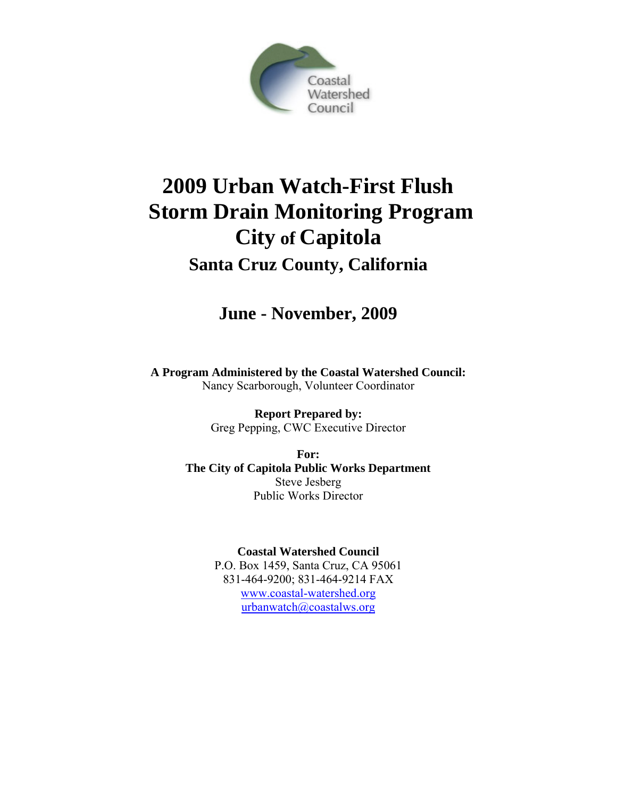

# **2009 Urban Watch-First Flush Storm Drain Monitoring Program City of Capitola**

## **Santa Cruz County, California**

## **June - November, 2009**

**A Program Administered by the Coastal Watershed Council:**  Nancy Scarborough, Volunteer Coordinator

> **Report Prepared by:**  Greg Pepping, CWC Executive Director

**For: The City of Capitola Public Works Department**  Steve Jesberg Public Works Director

> **Coastal Watershed Council**  P.O. Box 1459, Santa Cruz, CA 95061 831-464-9200; 831-464-9214 FAX [www.coastal-watershed.org](http://www.coastal-watershed.org/) [urbanwatch@coastalws.org](mailto:urbanwatch@coastalws.org)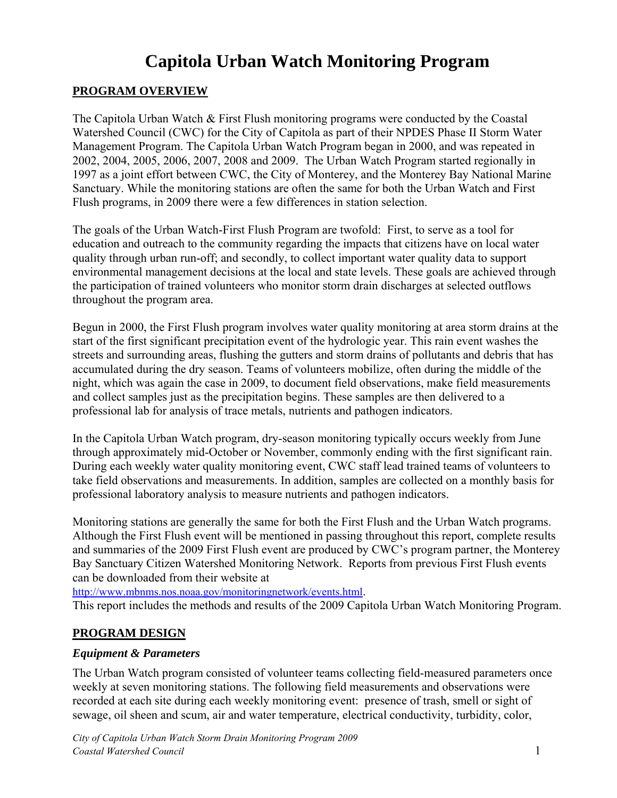## **Capitola Urban Watch Monitoring Program**

## **PROGRAM OVERVIEW**

The Capitola Urban Watch & First Flush monitoring programs were conducted by the Coastal Watershed Council (CWC) for the City of Capitola as part of their NPDES Phase II Storm Water Management Program. The Capitola Urban Watch Program began in 2000, and was repeated in 2002, 2004, 2005, 2006, 2007, 2008 and 2009. The Urban Watch Program started regionally in 1997 as a joint effort between CWC, the City of Monterey, and the Monterey Bay National Marine Sanctuary. While the monitoring stations are often the same for both the Urban Watch and First Flush programs, in 2009 there were a few differences in station selection.

The goals of the Urban Watch-First Flush Program are twofold: First, to serve as a tool for education and outreach to the community regarding the impacts that citizens have on local water quality through urban run-off; and secondly, to collect important water quality data to support environmental management decisions at the local and state levels. These goals are achieved through the participation of trained volunteers who monitor storm drain discharges at selected outflows throughout the program area.

Begun in 2000, the First Flush program involves water quality monitoring at area storm drains at the start of the first significant precipitation event of the hydrologic year. This rain event washes the streets and surrounding areas, flushing the gutters and storm drains of pollutants and debris that has accumulated during the dry season. Teams of volunteers mobilize, often during the middle of the night, which was again the case in 2009, to document field observations, make field measurements and collect samples just as the precipitation begins. These samples are then delivered to a professional lab for analysis of trace metals, nutrients and pathogen indicators.

In the Capitola Urban Watch program, dry-season monitoring typically occurs weekly from June through approximately mid-October or November, commonly ending with the first significant rain. During each weekly water quality monitoring event, CWC staff lead trained teams of volunteers to take field observations and measurements. In addition, samples are collected on a monthly basis for professional laboratory analysis to measure nutrients and pathogen indicators.

Monitoring stations are generally the same for both the First Flush and the Urban Watch programs. Although the First Flush event will be mentioned in passing throughout this report, complete results and summaries of the 2009 First Flush event are produced by CWC's program partner, the Monterey Bay Sanctuary Citizen Watershed Monitoring Network. Reports from previous First Flush events can be downloaded from their website at

<http://www.mbnms.nos.noaa.gov/monitoringnetwork/events.html>.

This report includes the methods and results of the 2009 Capitola Urban Watch Monitoring Program.

## **PROGRAM DESIGN**

#### *Equipment & Parameters*

The Urban Watch program consisted of volunteer teams collecting field-measured parameters once weekly at seven monitoring stations. The following field measurements and observations were recorded at each site during each weekly monitoring event: presence of trash, smell or sight of sewage, oil sheen and scum, air and water temperature, electrical conductivity, turbidity, color,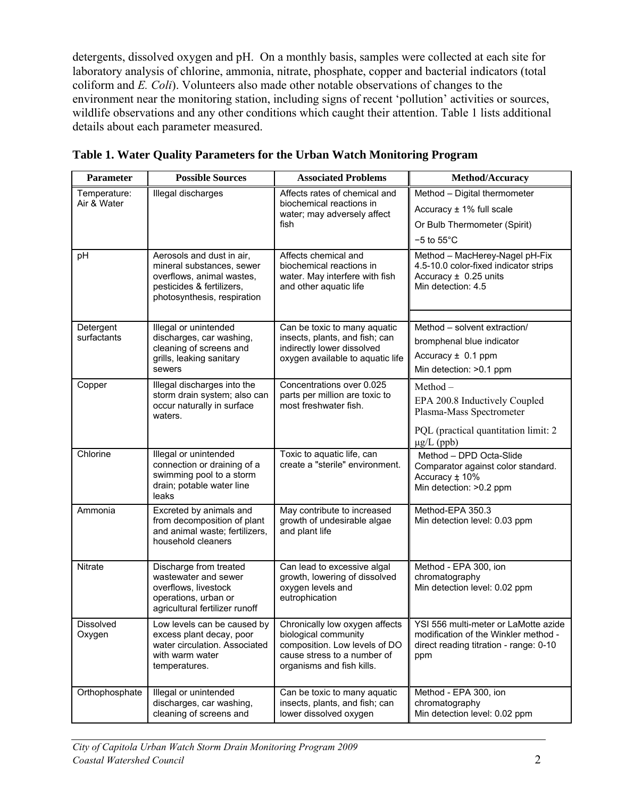detergents, dissolved oxygen and pH. On a monthly basis, samples were collected at each site for laboratory analysis of chlorine, ammonia, nitrate, phosphate, copper and bacterial indicators (total coliform and *E. Coli*). Volunteers also made other notable observations of changes to the environment near the monitoring station, including signs of recent 'pollution' activities or sources, wildlife observations and any other conditions which caught their attention. Table 1 lists additional details about each parameter measured.

| Parameter                   | <b>Possible Sources</b>                                                                                                                         | <b>Associated Problems</b>                                                                                                                          | Method/Accuracy                                                                                                               |
|-----------------------------|-------------------------------------------------------------------------------------------------------------------------------------------------|-----------------------------------------------------------------------------------------------------------------------------------------------------|-------------------------------------------------------------------------------------------------------------------------------|
| Temperature:<br>Air & Water | Illegal discharges                                                                                                                              | Affects rates of chemical and<br>biochemical reactions in                                                                                           | Method - Digital thermometer                                                                                                  |
|                             |                                                                                                                                                 | water; may adversely affect                                                                                                                         | Accuracy $\pm$ 1% full scale                                                                                                  |
|                             |                                                                                                                                                 | fish                                                                                                                                                | Or Bulb Thermometer (Spirit)                                                                                                  |
|                             |                                                                                                                                                 |                                                                                                                                                     | $-5$ to $55^{\circ}$ C                                                                                                        |
| pH                          | Aerosols and dust in air,<br>mineral substances, sewer<br>overflows, animal wastes,<br>pesticides & fertilizers,<br>photosynthesis, respiration | Affects chemical and<br>biochemical reactions in<br>water. May interfere with fish<br>and other aquatic life                                        | Method - MacHerey-Nagel pH-Fix<br>4.5-10.0 color-fixed indicator strips<br>Accuracy $\pm$ 0.25 units<br>Min detection: 4.5    |
| Detergent                   | Illegal or unintended                                                                                                                           | Can be toxic to many aquatic                                                                                                                        | Method – solvent extraction/                                                                                                  |
| surfactants                 | discharges, car washing,                                                                                                                        | insects, plants, and fish; can                                                                                                                      | bromphenal blue indicator                                                                                                     |
|                             | cleaning of screens and<br>grills, leaking sanitary                                                                                             | indirectly lower dissolved<br>oxygen available to aquatic life                                                                                      | Accuracy $\pm$ 0.1 ppm                                                                                                        |
|                             | sewers                                                                                                                                          |                                                                                                                                                     | Min detection: >0.1 ppm                                                                                                       |
| Copper                      | Illegal discharges into the                                                                                                                     | Concentrations over 0.025                                                                                                                           | Method –                                                                                                                      |
|                             | storm drain system; also can<br>occur naturally in surface<br>waters.                                                                           | parts per million are toxic to<br>most freshwater fish.                                                                                             | EPA 200.8 Inductively Coupled<br>Plasma-Mass Spectrometer                                                                     |
|                             |                                                                                                                                                 |                                                                                                                                                     | PQL (practical quantitation limit: 2)<br>$\mu$ g/L (ppb)                                                                      |
| Chlorine                    | Illegal or unintended<br>connection or draining of a<br>swimming pool to a storm<br>drain; potable water line<br>leaks                          | Toxic to aquatic life, can<br>create a "sterile" environment.                                                                                       | Method - DPD Octa-Slide<br>Comparator against color standard.<br>Accuracy ± 10%<br>Min detection: >0.2 ppm                    |
| Ammonia                     | Excreted by animals and<br>from decomposition of plant<br>and animal waste; fertilizers,<br>household cleaners                                  | May contribute to increased<br>growth of undesirable algae<br>and plant life                                                                        | Method-EPA 350.3<br>Min detection level: 0.03 ppm                                                                             |
| Nitrate                     | Discharge from treated<br>wastewater and sewer<br>overflows, livestock<br>operations, urban or<br>agricultural fertilizer runoff                | Can lead to excessive algal<br>growth, lowering of dissolved<br>oxygen levels and<br>eutrophication                                                 | Method - EPA 300, ion<br>chromatography<br>Min detection level: 0.02 ppm                                                      |
| Dissolved<br>Oxygen         | Low levels can be caused by<br>excess plant decay, poor<br>water circulation. Associated<br>with warm water<br>temperatures.                    | Chronically low oxygen affects<br>biological community<br>composition. Low levels of DO<br>cause stress to a number of<br>organisms and fish kills. | YSI 556 multi-meter or LaMotte azide<br>modification of the Winkler method -<br>direct reading titration - range: 0-10<br>ppm |
| Orthophosphate              | Illegal or unintended<br>discharges, car washing,<br>cleaning of screens and                                                                    | Can be toxic to many aquatic<br>insects, plants, and fish; can<br>lower dissolved oxygen                                                            | Method - EPA 300, ion<br>chromatography<br>Min detection level: 0.02 ppm                                                      |

**Table 1. Water Quality Parameters for the Urban Watch Monitoring Program**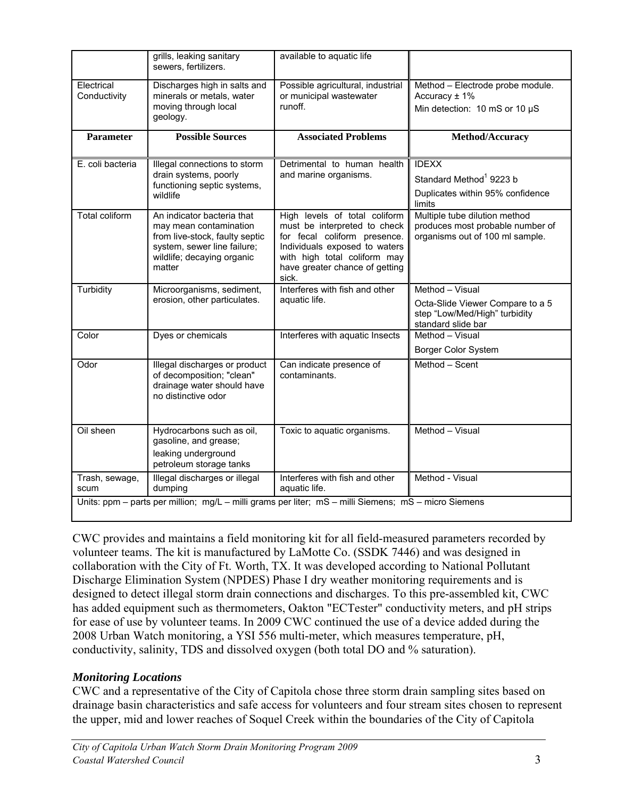|                            | grills, leaking sanitary<br>sewers, fertilizers.                                                                                                              | available to aquatic life                                                                                                                                                                                 |                                                                                                            |
|----------------------------|---------------------------------------------------------------------------------------------------------------------------------------------------------------|-----------------------------------------------------------------------------------------------------------------------------------------------------------------------------------------------------------|------------------------------------------------------------------------------------------------------------|
| Electrical<br>Conductivity | Discharges high in salts and<br>minerals or metals, water<br>moving through local<br>geology.                                                                 | Possible agricultural, industrial<br>or municipal wastewater<br>runoff.                                                                                                                                   | Method - Electrode probe module.<br>Accuracy $± 1\%$<br>Min detection: 10 mS or 10 µS                      |
| <b>Parameter</b>           | Possible Sources                                                                                                                                              | <b>Associated Problems</b>                                                                                                                                                                                | Method/Accuracy                                                                                            |
| E. coli bacteria           | Illegal connections to storm<br>drain systems, poorly<br>functioning septic systems,<br>wildlife                                                              | Detrimental to human health<br>and marine organisms.                                                                                                                                                      | <b>IDEXX</b><br>Standard Method <sup>1</sup> 9223 b<br>Duplicates within 95% confidence<br>limits          |
| <b>Total coliform</b>      | An indicator bacteria that<br>may mean contamination<br>from live-stock, faulty septic<br>system, sewer line failure;<br>wildlife; decaying organic<br>matter | High levels of total coliform<br>must be interpreted to check<br>for fecal coliform presence.<br>Individuals exposed to waters<br>with high total coliform may<br>have greater chance of getting<br>sick. | Multiple tube dilution method<br>produces most probable number of<br>organisms out of 100 ml sample.       |
| Turbidity                  | Microorganisms, sediment,<br>erosion, other particulates.                                                                                                     | Interferes with fish and other<br>aquatic life.                                                                                                                                                           | Method - Visual<br>Octa-Slide Viewer Compare to a 5<br>step "Low/Med/High" turbidity<br>standard slide bar |
| Color                      | Dyes or chemicals                                                                                                                                             | Interferes with aquatic Insects                                                                                                                                                                           | Method - Visual<br>Borger Color System                                                                     |
| Odor                       | Illegal discharges or product<br>of decomposition; "clean"<br>drainage water should have<br>no distinctive odor                                               | Can indicate presence of<br>contaminants.                                                                                                                                                                 | Method - Scent                                                                                             |
| Oil sheen                  | Hydrocarbons such as oil,<br>gasoline, and grease;<br>leaking underground<br>petroleum storage tanks                                                          | Toxic to aquatic organisms.                                                                                                                                                                               | Method - Visual                                                                                            |
| Trash, sewage,<br>scum     | Illegal discharges or illegal<br>dumping                                                                                                                      | Interferes with fish and other<br>aquatic life.                                                                                                                                                           | Method - Visual                                                                                            |
|                            |                                                                                                                                                               | Units: ppm – parts per million; mg/L – milli grams per liter; mS – milli Siemens; mS – micro Siemens                                                                                                      |                                                                                                            |

CWC provides and maintains a field monitoring kit for all field-measured parameters recorded by volunteer teams. The kit is manufactured by LaMotte Co. (SSDK 7446) and was designed in collaboration with the City of Ft. Worth, TX. It was developed according to National Pollutant Discharge Elimination System (NPDES) Phase I dry weather monitoring requirements and is designed to detect illegal storm drain connections and discharges. To this pre-assembled kit, CWC has added equipment such as thermometers, Oakton "ECTester" conductivity meters, and pH strips for ease of use by volunteer teams. In 2009 CWC continued the use of a device added during the 2008 Urban Watch monitoring, a YSI 556 multi-meter, which measures temperature, pH, conductivity, salinity, TDS and dissolved oxygen (both total DO and % saturation).

## *Monitoring Locations*

CWC and a representative of the City of Capitola chose three storm drain sampling sites based on drainage basin characteristics and safe access for volunteers and four stream sites chosen to represent the upper, mid and lower reaches of Soquel Creek within the boundaries of the City of Capitola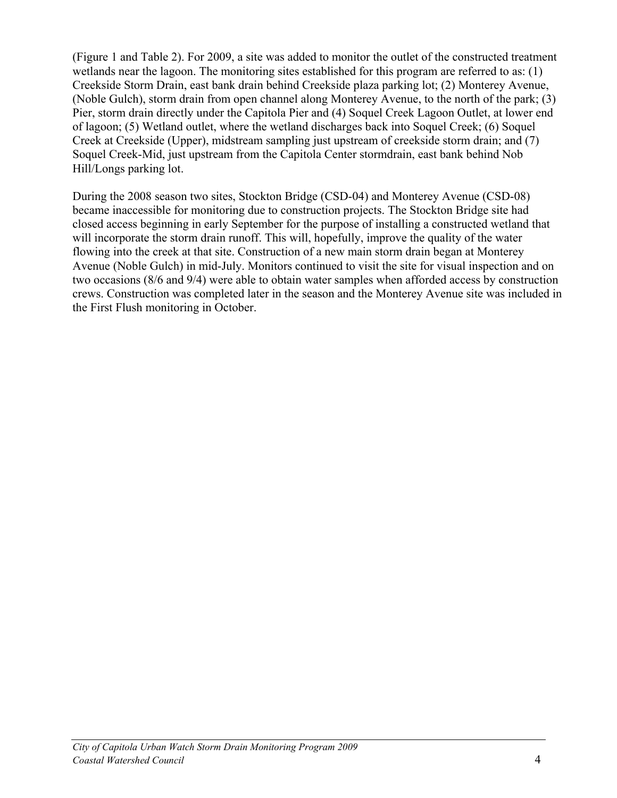(Figure 1 and Table 2). For 2009, a site was added to monitor the outlet of the constructed treatment wetlands near the lagoon. The monitoring sites established for this program are referred to as: (1) Creekside Storm Drain, east bank drain behind Creekside plaza parking lot; (2) Monterey Avenue, (Noble Gulch), storm drain from open channel along Monterey Avenue, to the north of the park; (3) Pier, storm drain directly under the Capitola Pier and (4) Soquel Creek Lagoon Outlet, at lower end of lagoon; (5) Wetland outlet, where the wetland discharges back into Soquel Creek; (6) Soquel Creek at Creekside (Upper), midstream sampling just upstream of creekside storm drain; and (7) Soquel Creek-Mid, just upstream from the Capitola Center stormdrain, east bank behind Nob Hill/Longs parking lot.

During the 2008 season two sites, Stockton Bridge (CSD-04) and Monterey Avenue (CSD-08) became inaccessible for monitoring due to construction projects. The Stockton Bridge site had closed access beginning in early September for the purpose of installing a constructed wetland that will incorporate the storm drain runoff. This will, hopefully, improve the quality of the water flowing into the creek at that site. Construction of a new main storm drain began at Monterey Avenue (Noble Gulch) in mid-July. Monitors continued to visit the site for visual inspection and on two occasions (8/6 and 9/4) were able to obtain water samples when afforded access by construction crews. Construction was completed later in the season and the Monterey Avenue site was included in the First Flush monitoring in October.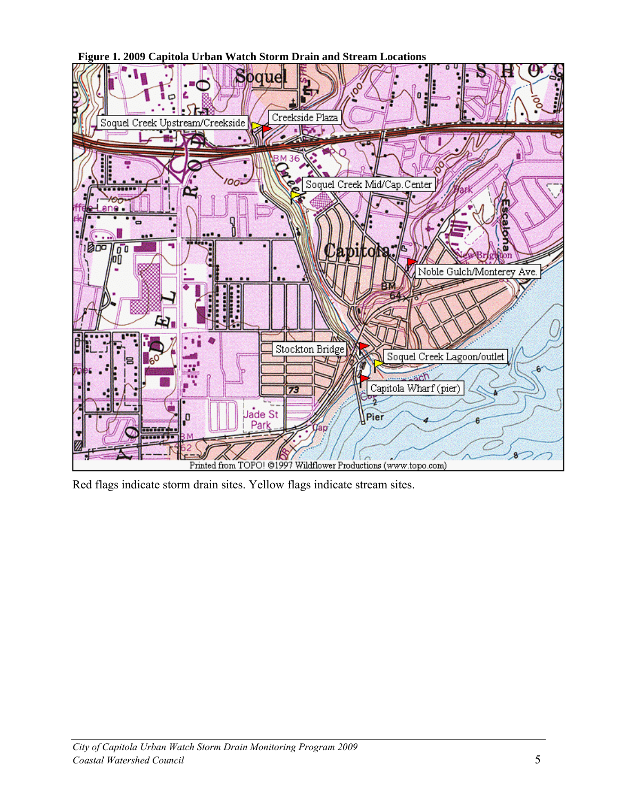**Figure 1. 2009 Capitola Urban Watch Storm Drain and Stream Locations**



Red flags indicate storm drain sites. Yellow flags indicate stream sites.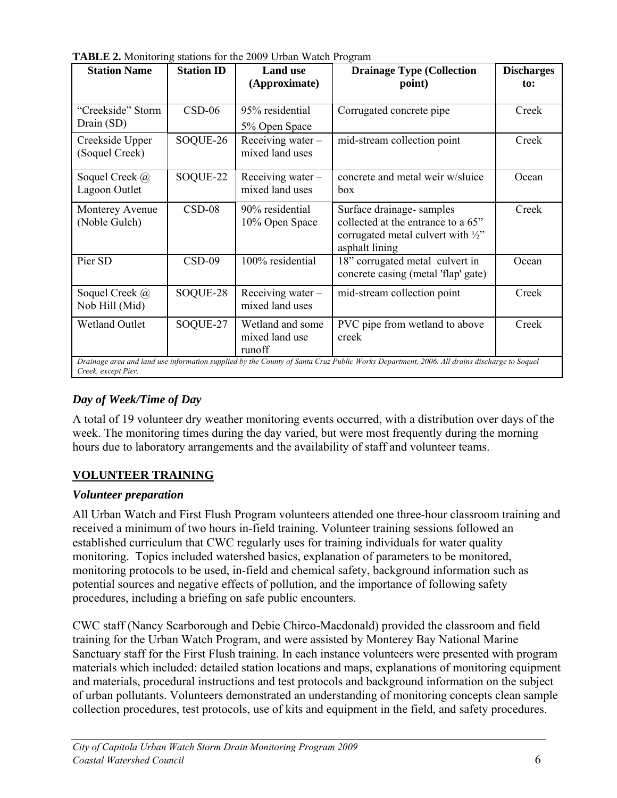| TABLE 2. Monitoring stations for the 2009 Urban Watch Program |
|---------------------------------------------------------------|
|---------------------------------------------------------------|

| <b>Station Name</b>               | <b>Station ID</b> | <b>Land use</b><br>(Approximate)             | <b>Drainage Type (Collection</b><br>point)                                                                                                | <b>Discharges</b><br>to: |
|-----------------------------------|-------------------|----------------------------------------------|-------------------------------------------------------------------------------------------------------------------------------------------|--------------------------|
| "Creekside" Storm<br>Drain (SD)   | $CSD-06$          | 95% residential<br>5% Open Space             | Corrugated concrete pipe                                                                                                                  | Creek                    |
| Creekside Upper<br>(Soquel Creek) | SOQUE-26          | Receiving water-<br>mixed land uses          | mid-stream collection point                                                                                                               | Creek                    |
| Soquel Creek @<br>Lagoon Outlet   | SOQUE-22          | Receiving water $-$<br>mixed land uses       | concrete and metal weir w/sluice<br><b>box</b>                                                                                            | Ocean                    |
| Monterey Avenue<br>(Noble Gulch)  | $CSD-08$          | 90% residential<br>10% Open Space            | Surface drainage-samples<br>collected at the entrance to a 65"<br>corrugated metal culvert with $\frac{1}{2}$ "<br>asphalt lining         | Creek                    |
| Pier SD                           | $CSD-09$          | 100% residential                             | 18" corrugated metal culvert in<br>concrete casing (metal 'flap' gate)                                                                    | Ocean                    |
| Soquel Creek @<br>Nob Hill (Mid)  | SOQUE-28          | Receiving water-<br>mixed land uses          | mid-stream collection point                                                                                                               | Creek                    |
| <b>Wetland Outlet</b>             | SOQUE-27          | Wetland and some<br>mixed land use<br>runoff | PVC pipe from wetland to above<br>creek                                                                                                   | Creek                    |
| Creek, except Pier.               |                   |                                              | Drainage area and land use information supplied by the County of Santa Cruz Public Works Department, 2006. All drains discharge to Soquel |                          |

## *Day of Week/Time of Day*

A total of 19 volunteer dry weather monitoring events occurred, with a distribution over days of the week. The monitoring times during the day varied, but were most frequently during the morning hours due to laboratory arrangements and the availability of staff and volunteer teams.

## **VOLUNTEER TRAINING**

## *Volunteer preparation*

All Urban Watch and First Flush Program volunteers attended one three-hour classroom training and received a minimum of two hours in-field training. Volunteer training sessions followed an established curriculum that CWC regularly uses for training individuals for water quality monitoring. Topics included watershed basics, explanation of parameters to be monitored, monitoring protocols to be used, in-field and chemical safety, background information such as potential sources and negative effects of pollution, and the importance of following safety procedures, including a briefing on safe public encounters.

CWC staff (Nancy Scarborough and Debie Chirco-Macdonald) provided the classroom and field training for the Urban Watch Program, and were assisted by Monterey Bay National Marine Sanctuary staff for the First Flush training. In each instance volunteers were presented with program materials which included: detailed station locations and maps, explanations of monitoring equipment and materials, procedural instructions and test protocols and background information on the subject of urban pollutants. Volunteers demonstrated an understanding of monitoring concepts clean sample collection procedures, test protocols, use of kits and equipment in the field, and safety procedures.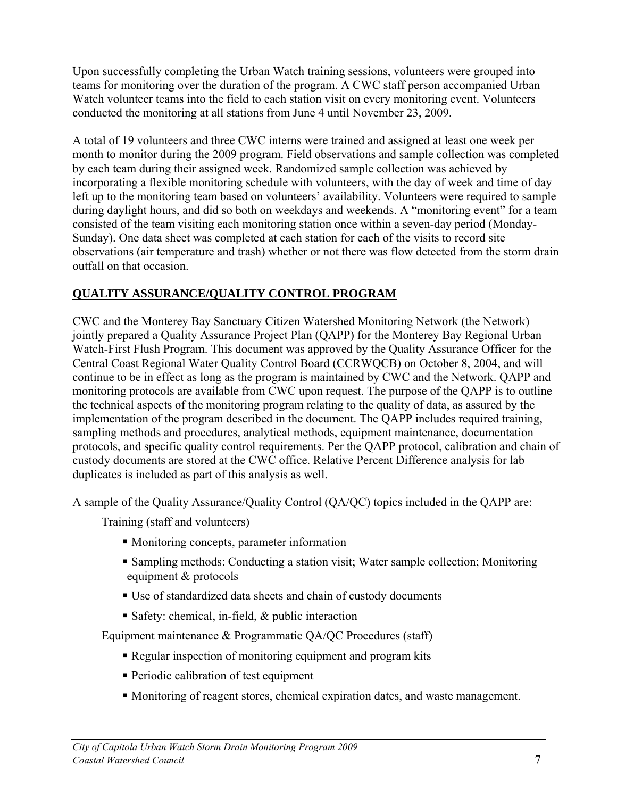Upon successfully completing the Urban Watch training sessions, volunteers were grouped into teams for monitoring over the duration of the program. A CWC staff person accompanied Urban Watch volunteer teams into the field to each station visit on every monitoring event. Volunteers conducted the monitoring at all stations from June 4 until November 23, 2009.

A total of 19 volunteers and three CWC interns were trained and assigned at least one week per month to monitor during the 2009 program. Field observations and sample collection was completed by each team during their assigned week. Randomized sample collection was achieved by incorporating a flexible monitoring schedule with volunteers, with the day of week and time of day left up to the monitoring team based on volunteers' availability. Volunteers were required to sample during daylight hours, and did so both on weekdays and weekends. A "monitoring event" for a team consisted of the team visiting each monitoring station once within a seven-day period (Monday-Sunday). One data sheet was completed at each station for each of the visits to record site observations (air temperature and trash) whether or not there was flow detected from the storm drain outfall on that occasion.

## **QUALITY ASSURANCE/QUALITY CONTROL PROGRAM**

CWC and the Monterey Bay Sanctuary Citizen Watershed Monitoring Network (the Network) jointly prepared a Quality Assurance Project Plan (QAPP) for the Monterey Bay Regional Urban Watch-First Flush Program. This document was approved by the Quality Assurance Officer for the Central Coast Regional Water Quality Control Board (CCRWQCB) on October 8, 2004, and will continue to be in effect as long as the program is maintained by CWC and the Network. QAPP and monitoring protocols are available from CWC upon request. The purpose of the QAPP is to outline the technical aspects of the monitoring program relating to the quality of data, as assured by the implementation of the program described in the document. The QAPP includes required training, sampling methods and procedures, analytical methods, equipment maintenance, documentation protocols, and specific quality control requirements. Per the QAPP protocol, calibration and chain of custody documents are stored at the CWC office. Relative Percent Difference analysis for lab duplicates is included as part of this analysis as well.

A sample of the Quality Assurance/Quality Control (QA/QC) topics included in the QAPP are:

Training (staff and volunteers)

- Monitoring concepts, parameter information
- Sampling methods: Conducting a station visit; Water sample collection; Monitoring equipment & protocols
- Use of standardized data sheets and chain of custody documents
- Safety: chemical, in-field,  $\&$  public interaction

Equipment maintenance & Programmatic QA/QC Procedures (staff)

- Regular inspection of monitoring equipment and program kits
- **Periodic calibration of test equipment**
- Monitoring of reagent stores, chemical expiration dates, and waste management.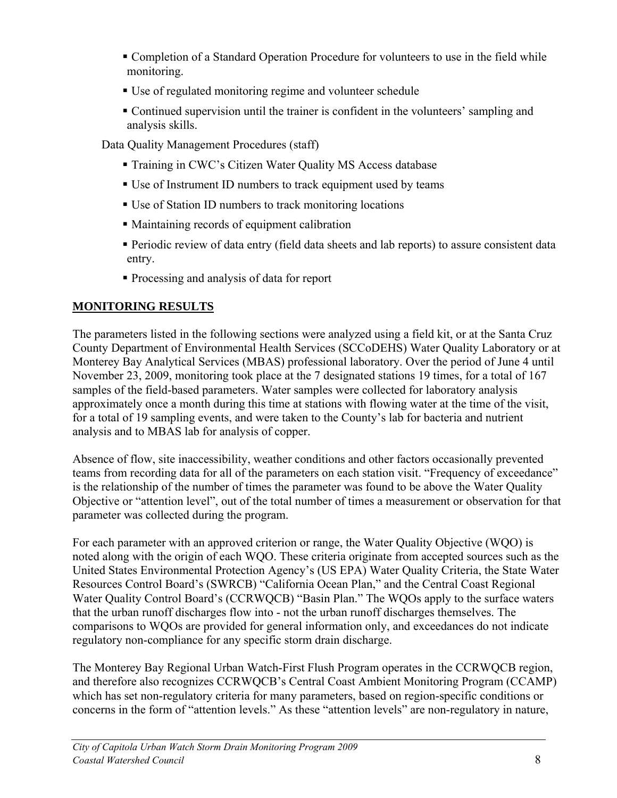- Completion of a Standard Operation Procedure for volunteers to use in the field while monitoring.
- Use of regulated monitoring regime and volunteer schedule
- Continued supervision until the trainer is confident in the volunteers' sampling and analysis skills.

Data Quality Management Procedures (staff)

- Training in CWC's Citizen Water Quality MS Access database
- Use of Instrument ID numbers to track equipment used by teams
- Use of Station ID numbers to track monitoring locations
- Maintaining records of equipment calibration
- Periodic review of data entry (field data sheets and lab reports) to assure consistent data entry.
- Processing and analysis of data for report

## **MONITORING RESULTS**

The parameters listed in the following sections were analyzed using a field kit, or at the Santa Cruz County Department of Environmental Health Services (SCCoDEHS) Water Quality Laboratory or at Monterey Bay Analytical Services (MBAS) professional laboratory. Over the period of June 4 until November 23, 2009, monitoring took place at the 7 designated stations 19 times, for a total of 167 samples of the field-based parameters. Water samples were collected for laboratory analysis approximately once a month during this time at stations with flowing water at the time of the visit, for a total of 19 sampling events, and were taken to the County's lab for bacteria and nutrient analysis and to MBAS lab for analysis of copper.

Absence of flow, site inaccessibility, weather conditions and other factors occasionally prevented teams from recording data for all of the parameters on each station visit. "Frequency of exceedance" is the relationship of the number of times the parameter was found to be above the Water Quality Objective or "attention level", out of the total number of times a measurement or observation for that parameter was collected during the program.

For each parameter with an approved criterion or range, the Water Quality Objective (WQO) is noted along with the origin of each WQO. These criteria originate from accepted sources such as the United States Environmental Protection Agency's (US EPA) Water Quality Criteria, the State Water Resources Control Board's (SWRCB) "California Ocean Plan," and the Central Coast Regional Water Quality Control Board's (CCRWQCB) "Basin Plan." The WQOs apply to the surface waters that the urban runoff discharges flow into - not the urban runoff discharges themselves. The comparisons to WQOs are provided for general information only, and exceedances do not indicate regulatory non-compliance for any specific storm drain discharge.

The Monterey Bay Regional Urban Watch-First Flush Program operates in the CCRWQCB region, and therefore also recognizes CCRWQCB's Central Coast Ambient Monitoring Program (CCAMP) which has set non-regulatory criteria for many parameters, based on region-specific conditions or concerns in the form of "attention levels." As these "attention levels" are non-regulatory in nature,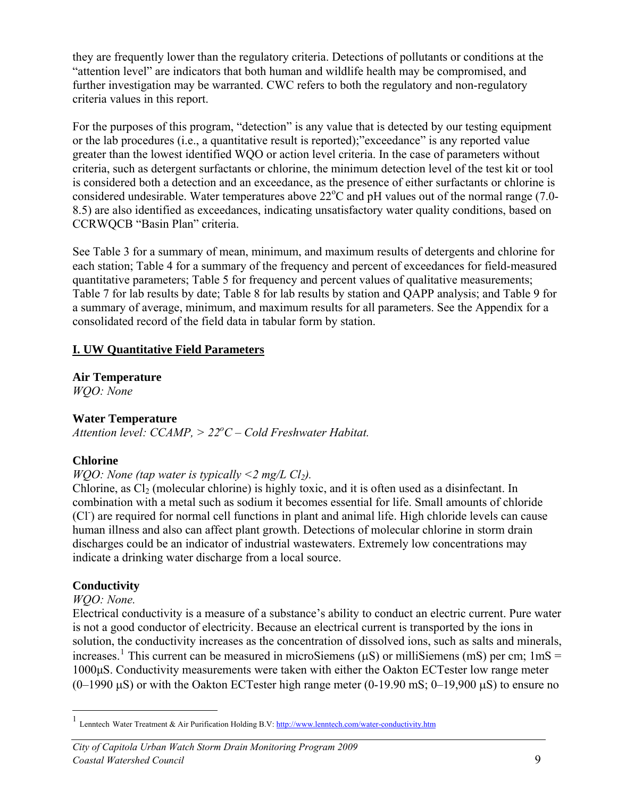they are frequently lower than the regulatory criteria. Detections of pollutants or conditions at the "attention level" are indicators that both human and wildlife health may be compromised, and further investigation may be warranted. CWC refers to both the regulatory and non-regulatory criteria values in this report.

For the purposes of this program, "detection" is any value that is detected by our testing equipment or the lab procedures (i.e., a quantitative result is reported);"exceedance" is any reported value greater than the lowest identified WQO or action level criteria. In the case of parameters without criteria, such as detergent surfactants or chlorine, the minimum detection level of the test kit or tool is considered both a detection and an exceedance, as the presence of either surfactants or chlorine is considered undesirable. Water temperatures above  $22^{\circ}$ C and pH values out of the normal range (7.0-8.5) are also identified as exceedances, indicating unsatisfactory water quality conditions, based on CCRWQCB "Basin Plan" criteria.

See Table 3 for a summary of mean, minimum, and maximum results of detergents and chlorine for each station; Table 4 for a summary of the frequency and percent of exceedances for field-measured quantitative parameters; Table 5 for frequency and percent values of qualitative measurements; Table 7 for lab results by date; Table 8 for lab results by station and QAPP analysis; and Table 9 for a summary of average, minimum, and maximum results for all parameters. See the Appendix for a consolidated record of the field data in tabular form by station.

## **I. UW Quantitative Field Parameters**

**Air Temperature** 

*WQO: None*

#### **Water Temperature**

Attention level: *CCAMP*,  $> 22^{\circ}C - \text{ Cold}$  Freshwater Habitat.

## **Chlorine**

#### *WOO: None (tap water is typically*  $\leq$ *2 mg/L Cl<sub>2</sub>).*

Chlorine, as Cl<sub>2</sub> (molecular chlorine) is highly toxic, and it is often used as a disinfectant. In combination with a metal such as sodium it becomes essential for life. Small amounts of chloride (Cl<sup>-</sup>) are required for normal cell functions in plant and animal life. High chloride levels can cause human illness and also can affect plant growth. Detections of molecular chlorine in storm drain discharges could be an indicator of industrial wastewaters. Extremely low concentrations may indicate a drinking water discharge from a local source.

## **Conductivity**

#### *WQO: None.*

 $\overline{a}$ 

Electrical conductivity is a measure of a substance's ability to conduct an electric current. Pure water is not a good conductor of electricity. Because an electrical current is transported by the ions in solution, the conductivity increases as the concentration of dissolved ions, such as salts and minerals, increases.<sup>[1](#page-9-0)</sup> This current can be measured in microSiemens ( $\mu$ S) or milliSiemens (mS) per cm; 1mS = 1000μS. Conductivity measurements were taken with either the Oakton ECTester low range meter  $(0-1990 \text{ µS})$  or with the Oakton ECTester high range meter  $(0-19.90 \text{ mS}; 0-19.900 \text{ µS})$  to ensure no

<span id="page-9-0"></span><sup>1</sup> Lenntech Water Treatment & Air Purification Holding B.V:<http://www.lenntech.com/water-conductivity.htm>

*City of Capitola Urban Watch Storm Drain Monitoring Program 2009 Coastal Watershed Council* 9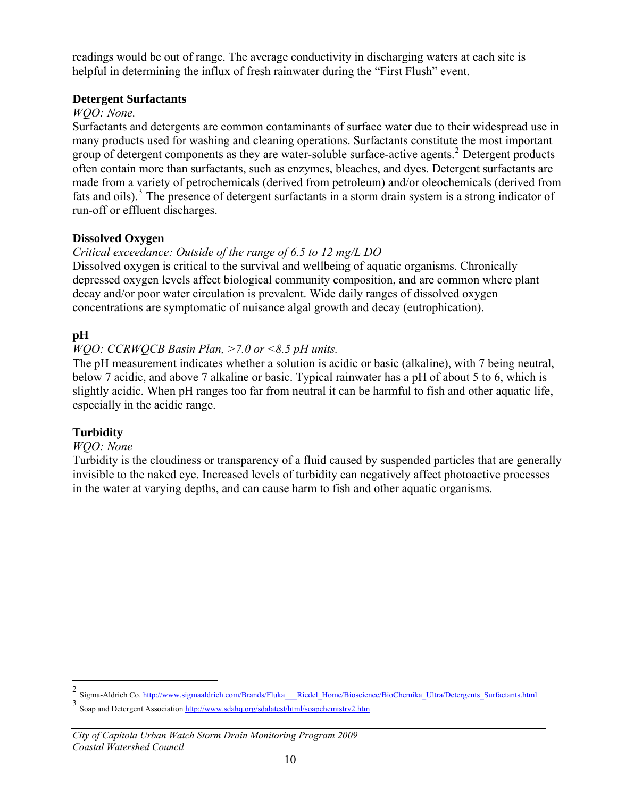readings would be out of range. The average conductivity in discharging waters at each site is helpful in determining the influx of fresh rainwater during the "First Flush" event.

#### **Detergent Surfactants**

## *WQO: None.*

Surfactants and detergents are common contaminants of surface water due to their widespread use in many products used for washing and cleaning operations. Surfactants constitute the most important group of detergent components as they are water-soluble surface-active agents.<sup>[2](#page-10-0)</sup> Detergent products often contain more than surfactants, such as enzymes, bleaches, and dyes. Detergent surfactants are made from a variety of petrochemicals (derived from petroleum) and/or oleochemicals (derived from fats and oils).<sup>[3](#page-10-1)</sup> The presence of detergent surfactants in a storm drain system is a strong indicator of run-off or effluent discharges.

## **Dissolved Oxygen**

## *Critical exceedance: Outside of the range of 6.5 to 12 mg/L DO*

Dissolved oxygen is critical to the survival and wellbeing of aquatic organisms. Chronically depressed oxygen levels affect biological community composition, and are common where plant decay and/or poor water circulation is prevalent. Wide daily ranges of dissolved oxygen concentrations are symptomatic of nuisance algal growth and decay (eutrophication).

## **pH**

## *WQO: CCRWQCB Basin Plan, >7.0 or <8.5 pH units.*

The pH measurement indicates whether a solution is acidic or basic (alkaline), with 7 being neutral, below 7 acidic, and above 7 alkaline or basic. Typical rainwater has a pH of about 5 to 6, which is slightly acidic. When pH ranges too far from neutral it can be harmful to fish and other aquatic life, especially in the acidic range.

## **Turbidity**

 $\overline{a}$ 

#### *WQO: None*

Turbidity is the cloudiness or transparency of a fluid caused by suspended particles that are generally invisible to the naked eye. Increased levels of turbidity can negatively affect photoactive processes in the water at varying depths, and can cause harm to fish and other aquatic organisms.

<span id="page-10-0"></span><sup>&</sup>lt;sup>2</sup> Sigma-Aldrich Co. http://www.sigmaaldrich.com/B<u>rands/Fluka\_\_\_Riedel\_Home/Bioscience/BioChemika\_Ultra/Detergents\_Surfactants.html</u>

<span id="page-10-1"></span><sup>3</sup> Soap and Detergent Association <http://www.sdahq.org/sdalatest/html/soapchemistry2.htm>

*City of Capitola Urban Watch Storm Drain Monitoring Program 2009 Coastal Watershed Council*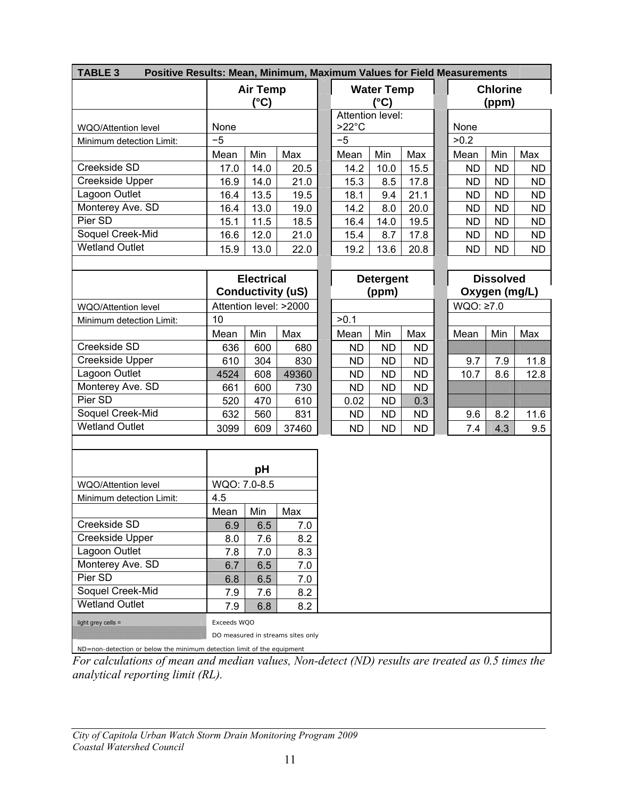| <b>TABLE 3</b><br>Positive Results: Mean, Minimum, Maximum Values for Field Measurements |                                   |                         |       |  |                  |                                    |           |  |           |                          |           |
|------------------------------------------------------------------------------------------|-----------------------------------|-------------------------|-------|--|------------------|------------------------------------|-----------|--|-----------|--------------------------|-----------|
|                                                                                          |                                   | <b>Air Temp</b><br>(°C) |       |  |                  | <b>Water Temp</b><br>$(^{\circ}C)$ |           |  |           | <b>Chlorine</b><br>(ppm) |           |
|                                                                                          |                                   |                         |       |  | Attention level: |                                    |           |  |           |                          |           |
| WQO/Attention level                                                                      | None                              |                         |       |  | $>22^{\circ}$ C  |                                    |           |  | None      |                          |           |
| Minimum detection Limit:                                                                 | $-5$                              |                         |       |  | $-5$             |                                    |           |  | >0.2      |                          |           |
|                                                                                          | Mean                              | Min                     | Max   |  | Mean             | Min                                | Max       |  | Mean      | Min                      | Max       |
| Creekside SD                                                                             | 17.0                              | 14.0                    | 20.5  |  | 14.2             | 10.0                               | 15.5      |  | <b>ND</b> | <b>ND</b>                | <b>ND</b> |
| Creekside Upper                                                                          | 16.9                              | 14.0                    | 21.0  |  | 15.3             | 8.5                                | 17.8      |  | <b>ND</b> | <b>ND</b>                | ND.       |
| Lagoon Outlet                                                                            | 16.4                              | 13.5                    | 19.5  |  | 18.1             | 9.4                                | 21.1      |  | <b>ND</b> | <b>ND</b>                | <b>ND</b> |
| Monterey Ave. SD                                                                         | 16.4                              | 13.0                    | 19.0  |  | 14.2             | 8.0                                | 20.0      |  | <b>ND</b> | <b>ND</b>                | <b>ND</b> |
| Pier SD                                                                                  | 15.1                              | 11.5                    | 18.5  |  | 16.4             | 14.0                               | 19.5      |  | <b>ND</b> | <b>ND</b>                | <b>ND</b> |
| Soquel Creek-Mid                                                                         | 16.6                              | 12.0                    | 21.0  |  | 15.4             | 8.7                                | 17.8      |  | <b>ND</b> | <b>ND</b>                | <b>ND</b> |
| <b>Wetland Outlet</b>                                                                    | 15.9                              | 13.0                    | 22.0  |  | 19.2             | 13.6                               | 20.8      |  | <b>ND</b> | <b>ND</b>                | <b>ND</b> |
|                                                                                          |                                   | <b>Electrical</b>       |       |  |                  | <b>Detergent</b>                   |           |  |           | <b>Dissolved</b>         |           |
|                                                                                          | <b>Conductivity (uS)</b>          |                         |       |  |                  | (ppm)                              |           |  |           | Oxygen (mg/L)            |           |
| <b>WQO/Attention level</b>                                                               |                                   | Attention level: >2000  |       |  |                  |                                    |           |  | WQO: ≥7.0 |                          |           |
| Minimum detection Limit:                                                                 | 10                                |                         |       |  | >0.1             |                                    |           |  |           |                          |           |
|                                                                                          | Mean                              | Min                     | Max   |  | Mean             | Min                                | Max       |  | Mean      | Min                      | Max       |
| Creekside SD                                                                             | 636                               | 600                     | 680   |  | <b>ND</b>        | <b>ND</b>                          | <b>ND</b> |  |           |                          |           |
| Creekside Upper                                                                          | 610                               | 304                     | 830   |  | <b>ND</b>        | <b>ND</b>                          | <b>ND</b> |  | 9.7       | 7.9                      | 11.8      |
| Lagoon Outlet                                                                            | 4524                              | 608                     | 49360 |  | <b>ND</b>        | <b>ND</b>                          | <b>ND</b> |  | 10.7      | 8.6                      | 12.8      |
| Monterey Ave. SD                                                                         | 661                               | 600                     | 730   |  | ND               | <b>ND</b>                          | <b>ND</b> |  |           |                          |           |
| Pier SD                                                                                  | 520                               | 470                     | 610   |  | 0.02             | <b>ND</b>                          | 0.3       |  |           |                          |           |
| Soquel Creek-Mid                                                                         | 632                               | 560                     | 831   |  | <b>ND</b>        | <b>ND</b>                          | <b>ND</b> |  | 9.6       | 8.2                      | 11.6      |
| <b>Wetland Outlet</b>                                                                    | 3099                              | 609                     | 37460 |  | <b>ND</b>        | <b>ND</b>                          | <b>ND</b> |  | 7.4       | 4.3                      | 9.5       |
|                                                                                          |                                   |                         |       |  |                  |                                    |           |  |           |                          |           |
|                                                                                          |                                   | рH                      |       |  |                  |                                    |           |  |           |                          |           |
| WQO/Attention level                                                                      | WQO: 7.0-8.5                      |                         |       |  |                  |                                    |           |  |           |                          |           |
| Minimum detection Limit:                                                                 | 4.5                               |                         |       |  |                  |                                    |           |  |           |                          |           |
|                                                                                          | Mean                              | Min                     | Max   |  |                  |                                    |           |  |           |                          |           |
| Creekside SD                                                                             | 6.9                               | 6.5                     | 7.0   |  |                  |                                    |           |  |           |                          |           |
| Creekside Upper                                                                          | 8.0                               | 7.6                     | 8.2   |  |                  |                                    |           |  |           |                          |           |
| Lagoon Outlet                                                                            | 7.8                               | 7.0                     | 8.3   |  |                  |                                    |           |  |           |                          |           |
| Monterey Ave. SD                                                                         | 6.7                               | 6.5                     | 7.0   |  |                  |                                    |           |  |           |                          |           |
| Pier SD                                                                                  | 6.8                               | 6.5                     | 7.0   |  |                  |                                    |           |  |           |                          |           |
| Soquel Creek-Mid                                                                         | 7.9                               | 7.6                     | 8.2   |  |                  |                                    |           |  |           |                          |           |
| <b>Wetland Outlet</b>                                                                    | 7.9                               | 6.8                     | 8.2   |  |                  |                                    |           |  |           |                          |           |
| light grey cells =                                                                       | Exceeds WQO                       |                         |       |  |                  |                                    |           |  |           |                          |           |
|                                                                                          | DO measured in streams sites only |                         |       |  |                  |                                    |           |  |           |                          |           |
| ND=non-detection or below the minimum detection limit of the equipment                   |                                   |                         |       |  |                  |                                    |           |  |           |                          |           |

*For calculations of mean and median values, Non-detect (ND) results are treated as 0.5 times the analytical reporting limit (RL).*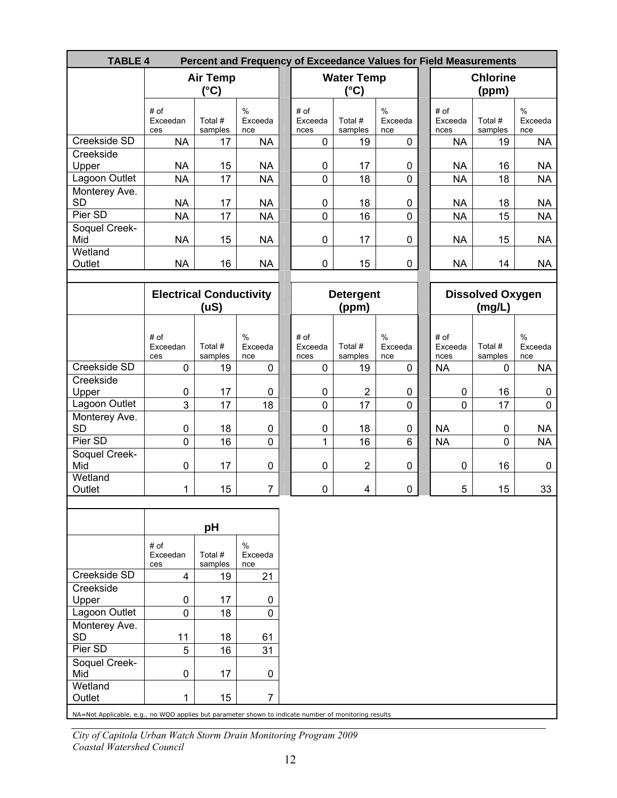| <b>TABLE 4</b>                                                                                                 |                                |                         |                        |                         |                                    |                        | Percent and Frequency of Exceedance Values for Field Measurements |                                   |                        |
|----------------------------------------------------------------------------------------------------------------|--------------------------------|-------------------------|------------------------|-------------------------|------------------------------------|------------------------|-------------------------------------------------------------------|-----------------------------------|------------------------|
|                                                                                                                |                                | <b>Air Temp</b><br>(°C) |                        |                         | <b>Water Temp</b><br>$(^{\circ}C)$ |                        |                                                                   | <b>Chlorine</b><br>(ppm)          |                        |
|                                                                                                                | # of<br>Exceedan<br>ces        | Total #<br>samples      | $\%$<br>Exceeda<br>nce | # of<br>Exceeda<br>nces | Total #<br>samples                 | $\%$<br>Exceeda<br>nce | # of<br>Exceeda<br>nces                                           | Total #<br>samples                | $\%$<br>Exceeda<br>nce |
| Creekside SD                                                                                                   | <b>NA</b>                      | 17                      | <b>NA</b>              | 0                       | 19                                 | 0                      | <b>NA</b>                                                         | 19                                | <b>NA</b>              |
| Creekside<br>Upper                                                                                             | <b>NA</b>                      | 15                      | <b>NA</b>              | $\pmb{0}$               | 17                                 | 0                      | <b>NA</b>                                                         | 16                                | <b>NA</b>              |
| Lagoon Outlet                                                                                                  | <b>NA</b>                      | 17                      | <b>NA</b>              | $\mathbf 0$             | 18                                 | $\mathbf 0$            | <b>NA</b>                                                         | 18                                | <b>NA</b>              |
| Monterey Ave.<br><b>SD</b>                                                                                     | <b>NA</b>                      | 17                      | <b>NA</b>              | $\mathbf 0$             | 18                                 | 0                      | <b>NA</b>                                                         | 18                                | <b>NA</b>              |
| Pier SD                                                                                                        | <b>NA</b>                      | 17                      | <b>NA</b>              | $\mathbf 0$             | 16                                 | 0                      | <b>NA</b>                                                         | 15                                | <b>NA</b>              |
| Soquel Creek-<br>Mid                                                                                           | <b>NA</b>                      | 15                      | <b>NA</b>              | $\mathbf 0$             | 17                                 | $\pmb{0}$              | <b>NA</b>                                                         | 15                                | <b>NA</b>              |
| Wetland<br>Outlet                                                                                              | <b>NA</b>                      | 16                      | <b>NA</b>              | $\mathbf 0$             | 15                                 | 0                      | <b>NA</b>                                                         | 14                                | <b>NA</b>              |
|                                                                                                                | <b>Electrical Conductivity</b> | (uS)                    |                        |                         | <b>Detergent</b><br>(ppm)          |                        |                                                                   | <b>Dissolved Oxygen</b><br>(mg/L) |                        |
|                                                                                                                |                                |                         |                        |                         |                                    |                        |                                                                   |                                   |                        |
|                                                                                                                | # of<br>Exceedan<br>ces        | Total #<br>samples      | $\%$<br>Exceeda<br>nce | # of<br>Exceeda<br>nces | Total #<br>samples                 | $\%$<br>Exceeda<br>nce | # of<br>Exceeda<br>nces                                           | Total #<br>samples                | $\%$<br>Exceeda<br>nce |
| <b>Creekside SD</b>                                                                                            | 0                              | 19                      | 0                      | $\mathbf 0$             | 19                                 | 0                      | <b>NA</b>                                                         | 0                                 | <b>NA</b>              |
| Creekside                                                                                                      |                                |                         |                        |                         |                                    |                        |                                                                   |                                   |                        |
| Upper                                                                                                          | 0                              | 17                      | 0                      | $\pmb{0}$               | $\overline{2}$                     | 0                      | $\mathbf 0$                                                       | 16                                | 0                      |
| Lagoon Outlet                                                                                                  | 3                              | 17                      | 18                     | $\mathbf 0$             | 17                                 | 0                      | 0                                                                 | 17                                | $\mathbf 0$            |
| Monterey Ave.<br><b>SD</b>                                                                                     | 0                              | 18                      | $\mathbf 0$            | $\pmb{0}$               | 18                                 | 0                      | <b>NA</b>                                                         | $\pmb{0}$                         | <b>NA</b>              |
| Pier SD                                                                                                        | 0                              | 16                      | $\mathbf 0$            | 1                       | 16                                 | 6                      | <b>NA</b>                                                         | 0                                 | <b>NA</b>              |
| Soquel Creek-<br>Mid                                                                                           | 0                              | 17                      | $\mathbf 0$            | $\mathbf 0$             | $\overline{2}$                     | $\pmb{0}$              | 0                                                                 | 16                                | $\mathbf{0}$           |
| Wetland<br>Outlet                                                                                              | 1                              | 15                      | $\overline{7}$         | $\mathbf 0$             | 4                                  | 0                      | 5                                                                 | 15                                | 33                     |
|                                                                                                                |                                |                         |                        |                         |                                    |                        |                                                                   |                                   |                        |
|                                                                                                                |                                | pH                      |                        |                         |                                    |                        |                                                                   |                                   |                        |
|                                                                                                                | # of<br>Exceedan<br>ces        | Total #<br>samples      | $\%$<br>Exceeda<br>nce |                         |                                    |                        |                                                                   |                                   |                        |
| Creekside SD                                                                                                   | 4                              | 19                      | 21                     |                         |                                    |                        |                                                                   |                                   |                        |
| Creekside                                                                                                      |                                |                         |                        |                         |                                    |                        |                                                                   |                                   |                        |
| Upper                                                                                                          | 0                              | 17                      | 0                      |                         |                                    |                        |                                                                   |                                   |                        |
| Lagoon Outlet                                                                                                  | 0                              | 18                      | $\mathbf 0$            |                         |                                    |                        |                                                                   |                                   |                        |
| Monterey Ave.<br><b>SD</b>                                                                                     | 11                             | 18                      | 61                     |                         |                                    |                        |                                                                   |                                   |                        |
| Pier SD                                                                                                        | 5                              | 16                      | 31                     |                         |                                    |                        |                                                                   |                                   |                        |
| Soquel Creek-<br>Mid                                                                                           | 0                              | 17                      | 0                      |                         |                                    |                        |                                                                   |                                   |                        |
| Wetland                                                                                                        | 1                              | 15                      | 7                      |                         |                                    |                        |                                                                   |                                   |                        |
| Outlet<br>NA=Not Applicable, e.g., no WQO applies but parameter shown to indicate number of monitoring results |                                |                         |                        |                         |                                    |                        |                                                                   |                                   |                        |

*City of Capitola Urban Watch Storm Drain Monitoring Program 2009 Coastal Watershed Council*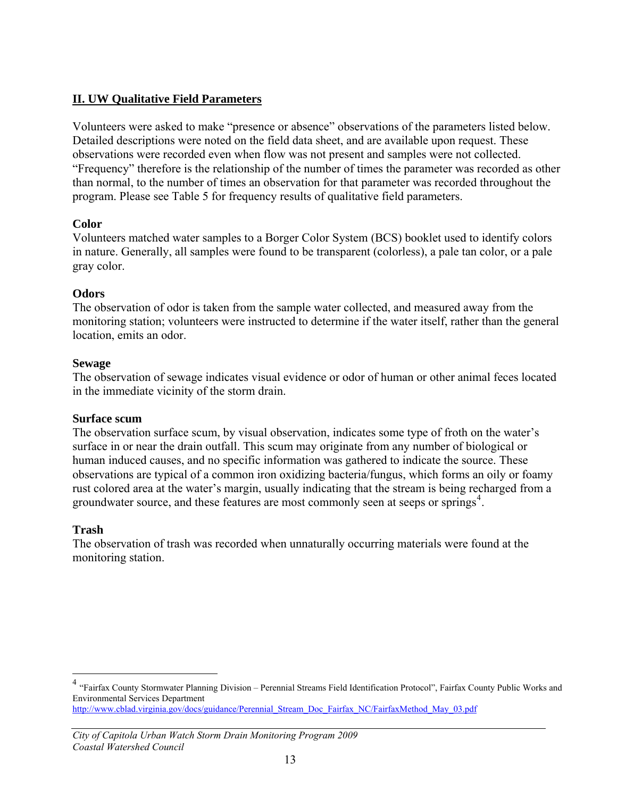## **II. UW Qualitative Field Parameters**

Volunteers were asked to make "presence or absence" observations of the parameters listed below. Detailed descriptions were noted on the field data sheet, and are available upon request. These observations were recorded even when flow was not present and samples were not collected. "Frequency" therefore is the relationship of the number of times the parameter was recorded as other than normal, to the number of times an observation for that parameter was recorded throughout the program. Please see Table 5 for frequency results of qualitative field parameters.

#### **Color**

Volunteers matched water samples to a Borger Color System (BCS) booklet used to identify colors in nature. Generally, all samples were found to be transparent (colorless), a pale tan color, or a pale gray color.

#### **Odors**

The observation of odor is taken from the sample water collected, and measured away from the monitoring station; volunteers were instructed to determine if the water itself, rather than the general location, emits an odor.

#### **Sewage**

The observation of sewage indicates visual evidence or odor of human or other animal feces located in the immediate vicinity of the storm drain.

#### **Surface scum**

The observation surface scum, by visual observation, indicates some type of froth on the water's surface in or near the drain outfall. This scum may originate from any number of biological or human induced causes, and no specific information was gathered to indicate the source. These observations are typical of a common iron oxidizing bacteria/fungus, which forms an oily or foamy rust colored area at the water's margin, usually indicating that the stream is being recharged from a groundwater source, and these features are most commonly seen at seeps or springs<sup>[4](#page-13-0)</sup>.

#### **Trash**

 $\overline{a}$ 

The observation of trash was recorded when unnaturally occurring materials were found at the monitoring station.

<span id="page-13-0"></span><sup>&</sup>lt;sup>4</sup> "Fairfax County Stormwater Planning Division – Perennial Streams Field Identification Protocol", Fairfax County Public Works and Environmental Services Department [http://www.cblad.virginia.gov/docs/guidance/Perennial\\_Stream\\_Doc\\_Fairfax\\_NC/FairfaxMethod\\_May\\_03.pdf](http://www.cblad.virginia.gov/docs/guidance/Perennial_Stream_Doc_Fairfax_NC/FairfaxMethod_May_03.pdf)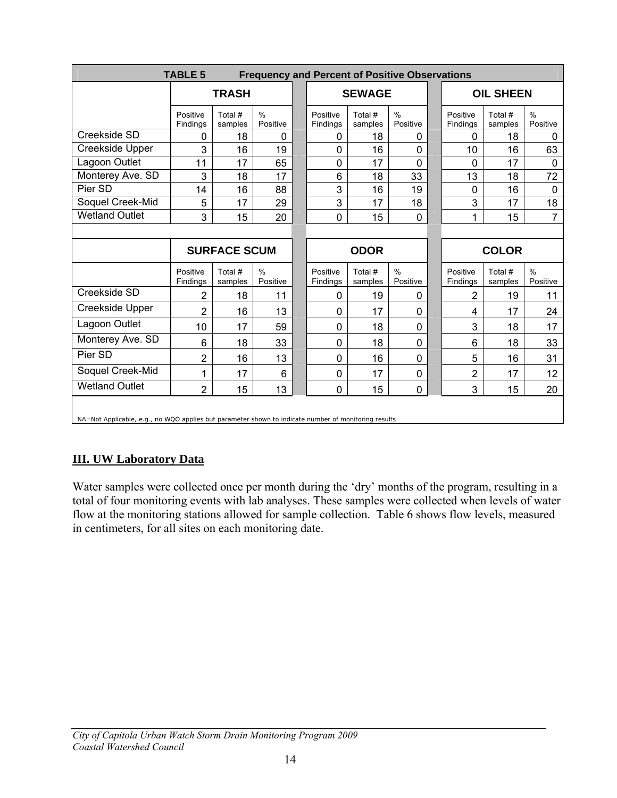|                                                                                                      | <b>TABLE 5</b><br><b>Frequency and Percent of Positive Observations</b> |                     |                           |  |                      |                    |                           |  |                      |                    |                           |
|------------------------------------------------------------------------------------------------------|-------------------------------------------------------------------------|---------------------|---------------------------|--|----------------------|--------------------|---------------------------|--|----------------------|--------------------|---------------------------|
|                                                                                                      |                                                                         | <b>TRASH</b>        |                           |  |                      | <b>SEWAGE</b>      |                           |  | <b>OIL SHEEN</b>     |                    |                           |
|                                                                                                      | Positive<br>Findings                                                    | Total #<br>samples  | $\frac{0}{0}$<br>Positive |  | Positive<br>Findings | Total #<br>samples | $\frac{0}{0}$<br>Positive |  | Positive<br>Findings | Total #<br>samples | $\frac{0}{0}$<br>Positive |
| Creekside SD                                                                                         | 0                                                                       | 18                  | 0                         |  | 0                    | 18                 | 0                         |  | 0                    | 18                 | 0                         |
| Creekside Upper                                                                                      | 3                                                                       | 16                  | 19                        |  | 0                    | 16                 | $\mathbf 0$               |  | 10                   | 16                 | 63                        |
| Lagoon Outlet                                                                                        | 11                                                                      | 17                  | 65                        |  | 0                    | 17                 | $\Omega$                  |  | 0                    | 17                 | $\mathbf 0$               |
| Monterey Ave. SD                                                                                     | 3                                                                       | 18                  | 17                        |  | 6                    | 18                 | 33                        |  | 13                   | 18                 | 72                        |
| Pier SD                                                                                              | 14                                                                      | 16                  | 88                        |  | 3                    | 16                 | 19                        |  | 0                    | 16                 | $\mathbf 0$               |
| Soquel Creek-Mid                                                                                     | 5                                                                       | 17                  | 29                        |  | 3                    | 17                 | 18                        |  | 3                    | 17                 | 18                        |
| <b>Wetland Outlet</b>                                                                                | 3                                                                       | 15                  | 20                        |  | 0                    | 15                 | $\mathbf 0$               |  | 1                    | 15                 | $\overline{7}$            |
|                                                                                                      |                                                                         |                     |                           |  |                      |                    |                           |  |                      |                    |                           |
|                                                                                                      |                                                                         | <b>SURFACE SCUM</b> |                           |  | <b>ODOR</b>          |                    |                           |  | <b>COLOR</b>         |                    |                           |
|                                                                                                      | Positive<br>Findings                                                    | Total #<br>samples  | $\frac{0}{0}$<br>Positive |  | Positive<br>Findings | Total #<br>samples | $\frac{0}{0}$<br>Positive |  | Positive<br>Findings | Total #<br>samples | $\frac{0}{0}$<br>Positive |
| Creekside SD                                                                                         | 2                                                                       | 18                  | 11                        |  | 0                    | 19                 | $\mathbf 0$               |  | $\overline{2}$       | 19                 | 11                        |
| Creekside Upper                                                                                      | 2                                                                       | 16                  | 13                        |  | 0                    | 17                 | 0                         |  | 4                    | 17                 | 24                        |
| Lagoon Outlet                                                                                        | 10                                                                      | 17                  | 59                        |  | 0                    | 18                 | $\mathbf{0}$              |  | 3                    | 18                 | 17                        |
| Monterey Ave. SD                                                                                     | 6                                                                       | 18                  | 33                        |  | 0                    | 18                 | $\mathbf 0$               |  | 6                    | 18                 | 33                        |
| Pier SD                                                                                              | $\overline{2}$                                                          | 16                  | 13                        |  | 0                    | 16                 | $\mathbf{0}$              |  | 5                    | 16                 | 31                        |
| Soquel Creek-Mid                                                                                     | 1                                                                       | 17                  | 6                         |  | 0                    | 17                 | 0                         |  | $\overline{2}$       | 17                 | 12                        |
| <b>Wetland Outlet</b>                                                                                | $\overline{2}$                                                          | 15                  | 13                        |  | 0                    | 15                 | $\mathbf 0$               |  | 3                    | 15                 | 20                        |
| NA=Not Applicable, e.g., no WQO applies but parameter shown to indicate number of monitoring results |                                                                         |                     |                           |  |                      |                    |                           |  |                      |                    |                           |

## **III. UW Laboratory Data**

Water samples were collected once per month during the 'dry' months of the program, resulting in a total of four monitoring events with lab analyses. These samples were collected when levels of water flow at the monitoring stations allowed for sample collection. Table 6 shows flow levels, measured in centimeters, for all sites on each monitoring date.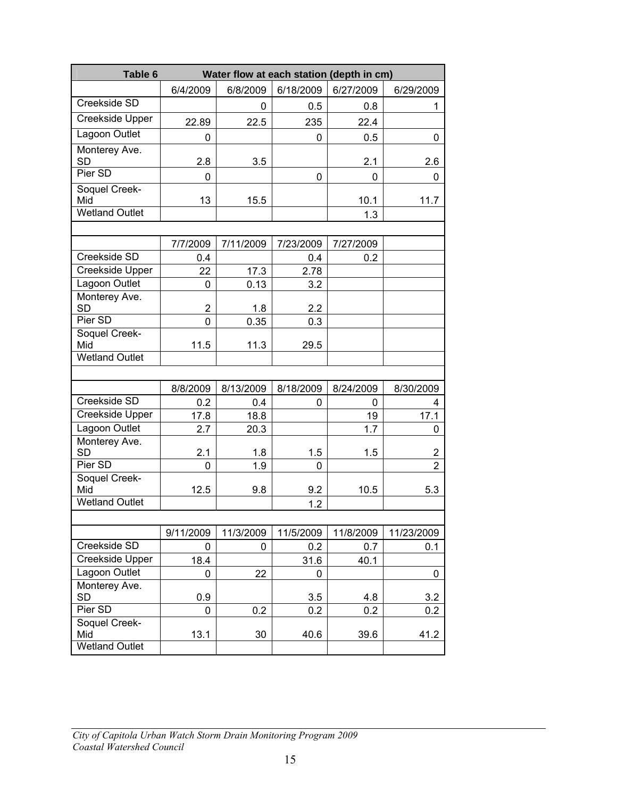| 6/8/2009<br>6/18/2009<br>6/27/2009<br>6/4/2009<br>6/29/2009<br>Creekside SD<br>0.5<br>0.8<br>0<br>1<br><b>Creekside Upper</b><br>22.89<br>22.5<br>235<br>22.4<br>Lagoon Outlet<br>0.5<br>0<br>0<br>0<br>Monterey Ave.<br><b>SD</b><br>2.8<br>3.5<br>2.1<br>2.6<br>Pier SD<br>$\Omega$<br>0<br>0<br>0<br>Soquel Creek-<br>Mid<br>13<br>11.7<br>15.5<br>10.1<br><b>Wetland Outlet</b><br>1.3<br>7/7/2009<br>7/11/2009<br>7/23/2009<br>7/27/2009<br>Creekside SD<br>0.2<br>0.4<br>0.4<br>Creekside Upper<br>22<br>17.3<br>2.78<br>Lagoon Outlet<br>0.13<br>3.2<br>$\Omega$<br>Monterey Ave.<br><b>SD</b><br>$\overline{2}$<br>1.8<br>2.2<br>Pier SD<br>0.35<br>0<br>0.3<br>Soquel Creek-<br>Mid<br>11.5<br>11.3<br>29.5<br><b>Wetland Outlet</b><br>8/8/2009<br>8/13/2009<br>8/18/2009<br>8/24/2009<br>8/30/2009<br>Creekside SD<br>0.2<br>0.4<br>0<br>0<br>4<br><b>Creekside Upper</b><br>17.1<br>17.8<br>18.8<br>19<br>Lagoon Outlet<br>20.3<br>1.7<br>2.7<br>0<br>Monterey Ave.<br><b>SD</b><br>2.1<br>1.8<br>1.5<br>1.5<br>$\overline{2}$<br>Pier SD<br>1.9<br>$\overline{2}$<br>$\Omega$<br>0<br>Soquel Creek-<br>Mid<br>12.5<br>9.8<br>9.2<br>10.5<br>5.3<br><b>Wetland Outlet</b><br>1.2<br>9/11/2009<br>11/3/2009<br>11/5/2009<br>11/8/2009<br>11/23/2009<br>Creekside SD<br>0.2<br>0<br>0.7<br>0.1<br>0<br>Creekside Upper<br>18.4<br>31.6<br>40.1<br>Lagoon Outlet<br>22<br>0<br>0<br>0<br>Monterey Ave.<br><b>SD</b><br>0.9<br>3.5<br>4.8<br>3.2 | Table 6 | Water flow at each station (depth in cm) |     |     |     |     |  |  |  |  |  |  |  |
|----------------------------------------------------------------------------------------------------------------------------------------------------------------------------------------------------------------------------------------------------------------------------------------------------------------------------------------------------------------------------------------------------------------------------------------------------------------------------------------------------------------------------------------------------------------------------------------------------------------------------------------------------------------------------------------------------------------------------------------------------------------------------------------------------------------------------------------------------------------------------------------------------------------------------------------------------------------------------------------------------------------------------------------------------------------------------------------------------------------------------------------------------------------------------------------------------------------------------------------------------------------------------------------------------------------------------------------------------------------------------------------------------------------------------------------------------------|---------|------------------------------------------|-----|-----|-----|-----|--|--|--|--|--|--|--|
|                                                                                                                                                                                                                                                                                                                                                                                                                                                                                                                                                                                                                                                                                                                                                                                                                                                                                                                                                                                                                                                                                                                                                                                                                                                                                                                                                                                                                                                          |         |                                          |     |     |     |     |  |  |  |  |  |  |  |
|                                                                                                                                                                                                                                                                                                                                                                                                                                                                                                                                                                                                                                                                                                                                                                                                                                                                                                                                                                                                                                                                                                                                                                                                                                                                                                                                                                                                                                                          |         |                                          |     |     |     |     |  |  |  |  |  |  |  |
|                                                                                                                                                                                                                                                                                                                                                                                                                                                                                                                                                                                                                                                                                                                                                                                                                                                                                                                                                                                                                                                                                                                                                                                                                                                                                                                                                                                                                                                          |         |                                          |     |     |     |     |  |  |  |  |  |  |  |
|                                                                                                                                                                                                                                                                                                                                                                                                                                                                                                                                                                                                                                                                                                                                                                                                                                                                                                                                                                                                                                                                                                                                                                                                                                                                                                                                                                                                                                                          |         |                                          |     |     |     |     |  |  |  |  |  |  |  |
|                                                                                                                                                                                                                                                                                                                                                                                                                                                                                                                                                                                                                                                                                                                                                                                                                                                                                                                                                                                                                                                                                                                                                                                                                                                                                                                                                                                                                                                          |         |                                          |     |     |     |     |  |  |  |  |  |  |  |
|                                                                                                                                                                                                                                                                                                                                                                                                                                                                                                                                                                                                                                                                                                                                                                                                                                                                                                                                                                                                                                                                                                                                                                                                                                                                                                                                                                                                                                                          |         |                                          |     |     |     |     |  |  |  |  |  |  |  |
|                                                                                                                                                                                                                                                                                                                                                                                                                                                                                                                                                                                                                                                                                                                                                                                                                                                                                                                                                                                                                                                                                                                                                                                                                                                                                                                                                                                                                                                          |         |                                          |     |     |     |     |  |  |  |  |  |  |  |
|                                                                                                                                                                                                                                                                                                                                                                                                                                                                                                                                                                                                                                                                                                                                                                                                                                                                                                                                                                                                                                                                                                                                                                                                                                                                                                                                                                                                                                                          |         |                                          |     |     |     |     |  |  |  |  |  |  |  |
|                                                                                                                                                                                                                                                                                                                                                                                                                                                                                                                                                                                                                                                                                                                                                                                                                                                                                                                                                                                                                                                                                                                                                                                                                                                                                                                                                                                                                                                          |         |                                          |     |     |     |     |  |  |  |  |  |  |  |
|                                                                                                                                                                                                                                                                                                                                                                                                                                                                                                                                                                                                                                                                                                                                                                                                                                                                                                                                                                                                                                                                                                                                                                                                                                                                                                                                                                                                                                                          |         |                                          |     |     |     |     |  |  |  |  |  |  |  |
|                                                                                                                                                                                                                                                                                                                                                                                                                                                                                                                                                                                                                                                                                                                                                                                                                                                                                                                                                                                                                                                                                                                                                                                                                                                                                                                                                                                                                                                          |         |                                          |     |     |     |     |  |  |  |  |  |  |  |
|                                                                                                                                                                                                                                                                                                                                                                                                                                                                                                                                                                                                                                                                                                                                                                                                                                                                                                                                                                                                                                                                                                                                                                                                                                                                                                                                                                                                                                                          |         |                                          |     |     |     |     |  |  |  |  |  |  |  |
|                                                                                                                                                                                                                                                                                                                                                                                                                                                                                                                                                                                                                                                                                                                                                                                                                                                                                                                                                                                                                                                                                                                                                                                                                                                                                                                                                                                                                                                          |         |                                          |     |     |     |     |  |  |  |  |  |  |  |
|                                                                                                                                                                                                                                                                                                                                                                                                                                                                                                                                                                                                                                                                                                                                                                                                                                                                                                                                                                                                                                                                                                                                                                                                                                                                                                                                                                                                                                                          |         |                                          |     |     |     |     |  |  |  |  |  |  |  |
|                                                                                                                                                                                                                                                                                                                                                                                                                                                                                                                                                                                                                                                                                                                                                                                                                                                                                                                                                                                                                                                                                                                                                                                                                                                                                                                                                                                                                                                          |         |                                          |     |     |     |     |  |  |  |  |  |  |  |
|                                                                                                                                                                                                                                                                                                                                                                                                                                                                                                                                                                                                                                                                                                                                                                                                                                                                                                                                                                                                                                                                                                                                                                                                                                                                                                                                                                                                                                                          |         |                                          |     |     |     |     |  |  |  |  |  |  |  |
|                                                                                                                                                                                                                                                                                                                                                                                                                                                                                                                                                                                                                                                                                                                                                                                                                                                                                                                                                                                                                                                                                                                                                                                                                                                                                                                                                                                                                                                          |         |                                          |     |     |     |     |  |  |  |  |  |  |  |
|                                                                                                                                                                                                                                                                                                                                                                                                                                                                                                                                                                                                                                                                                                                                                                                                                                                                                                                                                                                                                                                                                                                                                                                                                                                                                                                                                                                                                                                          |         |                                          |     |     |     |     |  |  |  |  |  |  |  |
|                                                                                                                                                                                                                                                                                                                                                                                                                                                                                                                                                                                                                                                                                                                                                                                                                                                                                                                                                                                                                                                                                                                                                                                                                                                                                                                                                                                                                                                          |         |                                          |     |     |     |     |  |  |  |  |  |  |  |
|                                                                                                                                                                                                                                                                                                                                                                                                                                                                                                                                                                                                                                                                                                                                                                                                                                                                                                                                                                                                                                                                                                                                                                                                                                                                                                                                                                                                                                                          |         |                                          |     |     |     |     |  |  |  |  |  |  |  |
|                                                                                                                                                                                                                                                                                                                                                                                                                                                                                                                                                                                                                                                                                                                                                                                                                                                                                                                                                                                                                                                                                                                                                                                                                                                                                                                                                                                                                                                          |         |                                          |     |     |     |     |  |  |  |  |  |  |  |
|                                                                                                                                                                                                                                                                                                                                                                                                                                                                                                                                                                                                                                                                                                                                                                                                                                                                                                                                                                                                                                                                                                                                                                                                                                                                                                                                                                                                                                                          |         |                                          |     |     |     |     |  |  |  |  |  |  |  |
|                                                                                                                                                                                                                                                                                                                                                                                                                                                                                                                                                                                                                                                                                                                                                                                                                                                                                                                                                                                                                                                                                                                                                                                                                                                                                                                                                                                                                                                          |         |                                          |     |     |     |     |  |  |  |  |  |  |  |
|                                                                                                                                                                                                                                                                                                                                                                                                                                                                                                                                                                                                                                                                                                                                                                                                                                                                                                                                                                                                                                                                                                                                                                                                                                                                                                                                                                                                                                                          |         |                                          |     |     |     |     |  |  |  |  |  |  |  |
|                                                                                                                                                                                                                                                                                                                                                                                                                                                                                                                                                                                                                                                                                                                                                                                                                                                                                                                                                                                                                                                                                                                                                                                                                                                                                                                                                                                                                                                          |         |                                          |     |     |     |     |  |  |  |  |  |  |  |
|                                                                                                                                                                                                                                                                                                                                                                                                                                                                                                                                                                                                                                                                                                                                                                                                                                                                                                                                                                                                                                                                                                                                                                                                                                                                                                                                                                                                                                                          |         |                                          |     |     |     |     |  |  |  |  |  |  |  |
|                                                                                                                                                                                                                                                                                                                                                                                                                                                                                                                                                                                                                                                                                                                                                                                                                                                                                                                                                                                                                                                                                                                                                                                                                                                                                                                                                                                                                                                          |         |                                          |     |     |     |     |  |  |  |  |  |  |  |
|                                                                                                                                                                                                                                                                                                                                                                                                                                                                                                                                                                                                                                                                                                                                                                                                                                                                                                                                                                                                                                                                                                                                                                                                                                                                                                                                                                                                                                                          |         |                                          |     |     |     |     |  |  |  |  |  |  |  |
|                                                                                                                                                                                                                                                                                                                                                                                                                                                                                                                                                                                                                                                                                                                                                                                                                                                                                                                                                                                                                                                                                                                                                                                                                                                                                                                                                                                                                                                          |         |                                          |     |     |     |     |  |  |  |  |  |  |  |
|                                                                                                                                                                                                                                                                                                                                                                                                                                                                                                                                                                                                                                                                                                                                                                                                                                                                                                                                                                                                                                                                                                                                                                                                                                                                                                                                                                                                                                                          |         |                                          |     |     |     |     |  |  |  |  |  |  |  |
|                                                                                                                                                                                                                                                                                                                                                                                                                                                                                                                                                                                                                                                                                                                                                                                                                                                                                                                                                                                                                                                                                                                                                                                                                                                                                                                                                                                                                                                          |         |                                          |     |     |     |     |  |  |  |  |  |  |  |
|                                                                                                                                                                                                                                                                                                                                                                                                                                                                                                                                                                                                                                                                                                                                                                                                                                                                                                                                                                                                                                                                                                                                                                                                                                                                                                                                                                                                                                                          |         |                                          |     |     |     |     |  |  |  |  |  |  |  |
|                                                                                                                                                                                                                                                                                                                                                                                                                                                                                                                                                                                                                                                                                                                                                                                                                                                                                                                                                                                                                                                                                                                                                                                                                                                                                                                                                                                                                                                          |         |                                          |     |     |     |     |  |  |  |  |  |  |  |
|                                                                                                                                                                                                                                                                                                                                                                                                                                                                                                                                                                                                                                                                                                                                                                                                                                                                                                                                                                                                                                                                                                                                                                                                                                                                                                                                                                                                                                                          |         |                                          |     |     |     |     |  |  |  |  |  |  |  |
|                                                                                                                                                                                                                                                                                                                                                                                                                                                                                                                                                                                                                                                                                                                                                                                                                                                                                                                                                                                                                                                                                                                                                                                                                                                                                                                                                                                                                                                          | Pier SD | 0                                        | 0.2 | 0.2 | 0.2 | 0.2 |  |  |  |  |  |  |  |
| Soquel Creek-<br>Mid<br>13.1<br>30<br>40.6<br>39.6<br>41.2                                                                                                                                                                                                                                                                                                                                                                                                                                                                                                                                                                                                                                                                                                                                                                                                                                                                                                                                                                                                                                                                                                                                                                                                                                                                                                                                                                                               |         |                                          |     |     |     |     |  |  |  |  |  |  |  |
| <b>Wetland Outlet</b>                                                                                                                                                                                                                                                                                                                                                                                                                                                                                                                                                                                                                                                                                                                                                                                                                                                                                                                                                                                                                                                                                                                                                                                                                                                                                                                                                                                                                                    |         |                                          |     |     |     |     |  |  |  |  |  |  |  |

#### *City of Capitola Urban Watch Storm Drain Monitoring Program 2009 Coastal Watershed Council*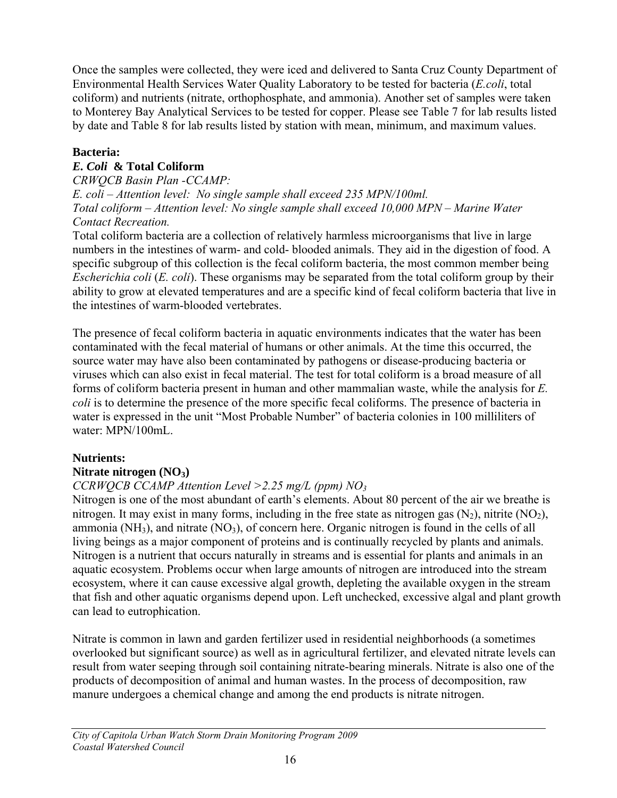Once the samples were collected, they were iced and delivered to Santa Cruz County Department of Environmental Health Services Water Quality Laboratory to be tested for bacteria (*E.coli*, total coliform) and nutrients (nitrate, orthophosphate, and ammonia). Another set of samples were taken to Monterey Bay Analytical Services to be tested for copper. Please see Table 7 for lab results listed by date and Table 8 for lab results listed by station with mean, minimum, and maximum values.

### **Bacteria:**

## *E. Coli* **& Total Coliform**

*CRWQCB Basin Plan -CCAMP: E. coli* – *Attention level: No single sample shall exceed 235 MPN/100ml. Total coliform – Attention level: No single sample shall exceed 10,000 MPN* – *Marine Water Contact Recreation.* 

Total coliform bacteria are a collection of relatively harmless microorganisms that live in large numbers in the intestines of warm- and cold- blooded animals. They aid in the digestion of food. A specific subgroup of this collection is the fecal coliform bacteria, the most common member being *Escherichia coli* (*E. coli*). These organisms may be separated from the total coliform group by their ability to grow at elevated temperatures and are a specific kind of fecal coliform bacteria that live in the intestines of warm-blooded vertebrates.

The presence of fecal coliform bacteria in aquatic environments indicates that the water has been contaminated with the fecal material of humans or other animals. At the time this occurred, the source water may have also been contaminated by pathogens or disease-producing bacteria or viruses which can also exist in fecal material. The test for total coliform is a broad measure of all forms of coliform bacteria present in human and other mammalian waste, while the analysis for *E. coli* is to determine the presence of the more specific fecal coliforms. The presence of bacteria in water is expressed in the unit "Most Probable Number" of bacteria colonies in 100 milliliters of water: MPN/100mL.

## **Nutrients:**

## **Nitrate nitrogen (NO3)**

## *CCRWQCB CCAMP Attention Level >2.25 mg/L (ppm) NO3*

Nitrogen is one of the most abundant of earth's elements. About 80 percent of the air we breathe is nitrogen. It may exist in many forms, including in the free state as nitrogen gas  $(N_2)$ , nitrite  $(NO_2)$ , ammonia ( $NH<sub>3</sub>$ ), and nitrate ( $NO<sub>3</sub>$ ), of concern here. Organic nitrogen is found in the cells of all living beings as a major component of proteins and is continually recycled by plants and animals. Nitrogen is a nutrient that occurs naturally in streams and is essential for plants and animals in an aquatic ecosystem. Problems occur when large amounts of nitrogen are introduced into the stream ecosystem, where it can cause excessive algal growth, depleting the available oxygen in the stream that fish and other aquatic organisms depend upon. Left unchecked, excessive algal and plant growth can lead to eutrophication.

Nitrate is common in lawn and garden fertilizer used in residential neighborhoods (a sometimes overlooked but significant source) as well as in agricultural fertilizer, and elevated nitrate levels can result from water seeping through soil containing nitrate-bearing minerals. Nitrate is also one of the products of decomposition of animal and human wastes. In the process of decomposition, raw manure undergoes a chemical change and among the end products is nitrate nitrogen.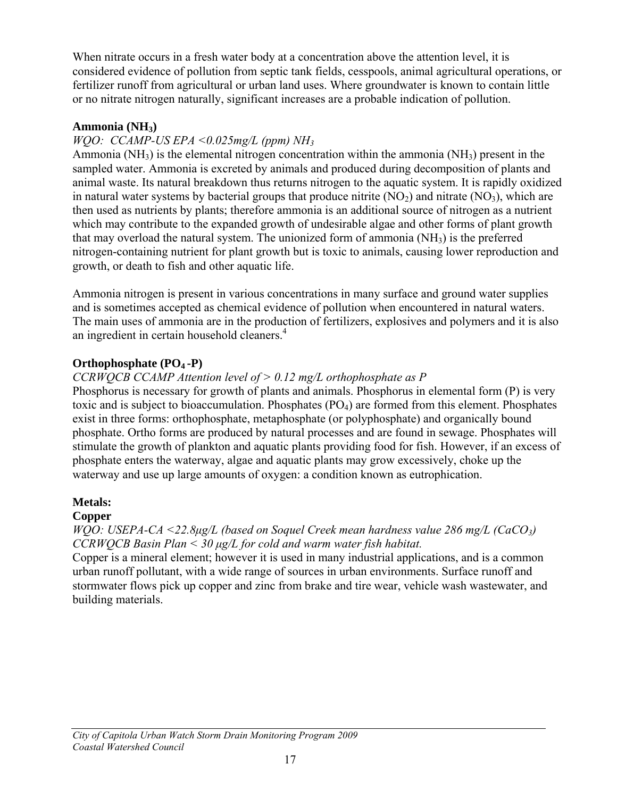When nitrate occurs in a fresh water body at a concentration above the attention level, it is considered evidence of pollution from septic tank fields, cesspools, animal agricultural operations, or fertilizer runoff from agricultural or urban land uses. Where groundwater is known to contain little or no nitrate nitrogen naturally, significant increases are a probable indication of pollution.

#### **Ammonia (NH3)**

## *WQO: CCAMP-US EPA <0.025mg/L (ppm) NH3*

Ammonia ( $NH<sub>3</sub>$ ) is the elemental nitrogen concentration within the ammonia ( $NH<sub>3</sub>$ ) present in the sampled water. Ammonia is excreted by animals and produced during decomposition of plants and animal waste. Its natural breakdown thus returns nitrogen to the aquatic system. It is rapidly oxidized in natural water systems by bacterial groups that produce nitrite  $(NO<sub>2</sub>)$  and nitrate  $(NO<sub>3</sub>)$ , which are then used as nutrients by plants; therefore ammonia is an additional source of nitrogen as a nutrient which may contribute to the expanded growth of undesirable algae and other forms of plant growth that may overload the natural system. The unionized form of ammonia  $(NH<sub>3</sub>)$  is the preferred nitrogen-containing nutrient for plant growth but is toxic to animals, causing lower reproduction and growth, or death to fish and other aquatic life.

Ammonia nitrogen is present in various concentrations in many surface and ground water supplies and is sometimes accepted as chemical evidence of pollution when encountered in natural waters. The main uses of ammonia are in the production of [fertilizers,](http://en.wikipedia.org/wiki/Fertilizer) [explosives](http://en.wikipedia.org/wiki/Explosive) and [polymers](http://en.wikipedia.org/wiki/Polymer) and it is also an ingredient in certain household cleaners.<sup>4</sup>

#### **Orthophosphate (PO4 -P)**

## *CCRWQCB CCAMP Attention level of > 0.12 mg/L orthophosphate as P*

Phosphorus is necessary for growth of plants and animals. Phosphorus in elemental form (P) is very toxic and is subject to bioaccumulation. Phosphates  $(PO<sub>4</sub>)$  are formed from this element. Phosphates exist in three forms: orthophosphate, metaphosphate (or polyphosphate) and organically bound phosphate. Ortho forms are produced by natural processes and are found in sewage. Phosphates will stimulate the growth of plankton and aquatic plants providing food for fish. However, if an excess of phosphate enters the waterway, algae and aquatic plants may grow excessively, choke up the waterway and use up large amounts of oxygen: a condition known as eutrophication.

#### **Metals:**

#### **Copper**

*WQO: USEPA-CA <22.8μg/L (based on Soquel Creek mean hardness value 286 mg/L (CaCO3) CCRWQCB Basin Plan < 30 μg/L for cold and warm water fish habitat.* 

Copper is a mineral element; however it is used in many industrial applications, and is a common urban runoff pollutant, with a wide range of sources in urban environments. Surface runoff and stormwater flows pick up copper and zinc from brake and tire wear, vehicle wash wastewater, and building materials.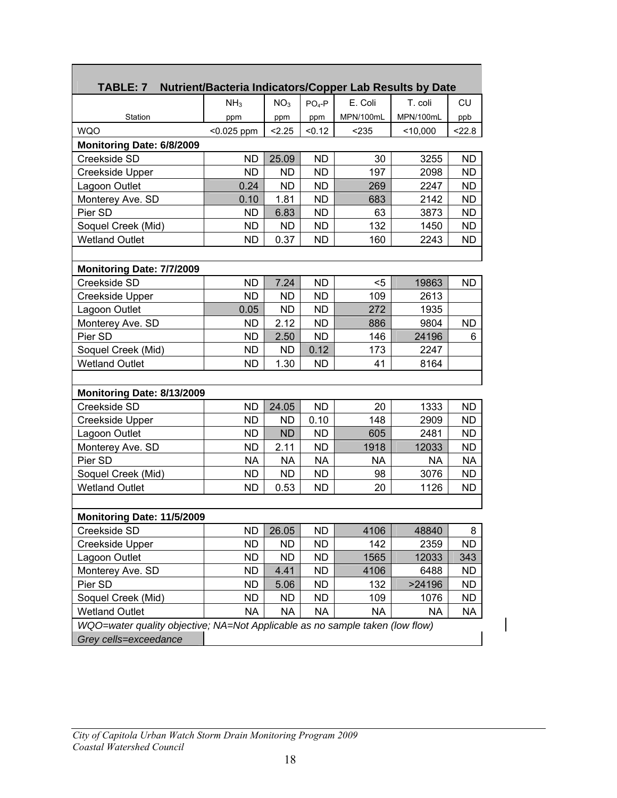| TABLE: 7                                                                     | Nutrient/Bacteria Indicators/Copper Lab Results by Date |                 |           |           |            |           |  |  |  |  |  |
|------------------------------------------------------------------------------|---------------------------------------------------------|-----------------|-----------|-----------|------------|-----------|--|--|--|--|--|
|                                                                              | NH <sub>3</sub>                                         | NO <sub>3</sub> | $PO4-P$   | E. Coli   | T. coli    | CU        |  |  |  |  |  |
| Station                                                                      | ppm                                                     | ppm             | ppm       | MPN/100mL | MPN/100mL  | ppb       |  |  |  |  |  |
| <b>WQO</b>                                                                   | $< 0.025$ ppm                                           | 2.25            | < 0.12    | < 235     | $<$ 10,000 | < 22.8    |  |  |  |  |  |
| Monitoring Date: 6/8/2009                                                    |                                                         |                 |           |           |            |           |  |  |  |  |  |
| Creekside SD                                                                 | <b>ND</b>                                               | 25.09           | <b>ND</b> | 30        | 3255       | <b>ND</b> |  |  |  |  |  |
| <b>Creekside Upper</b>                                                       | <b>ND</b>                                               | ND.             | <b>ND</b> | 197       | 2098       | ND        |  |  |  |  |  |
| Lagoon Outlet                                                                | 0.24                                                    | <b>ND</b>       | ND        | 269       | 2247       | ND        |  |  |  |  |  |
| Monterey Ave. SD                                                             | 0.10                                                    | 1.81            | <b>ND</b> | 683       | 2142       | <b>ND</b> |  |  |  |  |  |
| Pier SD                                                                      | ND                                                      | 6.83            | <b>ND</b> | 63        | 3873       | <b>ND</b> |  |  |  |  |  |
| Soquel Creek (Mid)                                                           | <b>ND</b>                                               | ND.             | ND.       | 132       | 1450       | <b>ND</b> |  |  |  |  |  |
| <b>Wetland Outlet</b>                                                        | ND                                                      | 0.37            | <b>ND</b> | 160       | 2243       | <b>ND</b> |  |  |  |  |  |
|                                                                              |                                                         |                 |           |           |            |           |  |  |  |  |  |
| Monitoring Date: 7/7/2009                                                    |                                                         |                 |           |           |            |           |  |  |  |  |  |
| Creekside SD                                                                 | <b>ND</b>                                               | 7.24            | <b>ND</b> | $5$       | 19863      | <b>ND</b> |  |  |  |  |  |
| <b>Creekside Upper</b>                                                       | <b>ND</b>                                               | <b>ND</b>       | <b>ND</b> | 109       | 2613       |           |  |  |  |  |  |
| Lagoon Outlet                                                                | 0.05                                                    | <b>ND</b>       | <b>ND</b> | 272       | 1935       |           |  |  |  |  |  |
| Monterey Ave. SD                                                             | <b>ND</b>                                               | 2.12            | <b>ND</b> | 886       | 9804       | <b>ND</b> |  |  |  |  |  |
| Pier SD                                                                      | ND                                                      | 2.50            | ND.       | 146       | 24196      | 6         |  |  |  |  |  |
| Soquel Creek (Mid)                                                           | <b>ND</b>                                               | <b>ND</b>       | 0.12      | 173       | 2247       |           |  |  |  |  |  |
| <b>Wetland Outlet</b>                                                        | <b>ND</b>                                               | 1.30            | ND        | 41        | 8164       |           |  |  |  |  |  |
|                                                                              |                                                         |                 |           |           |            |           |  |  |  |  |  |
| Monitoring Date: 8/13/2009                                                   |                                                         |                 |           |           |            |           |  |  |  |  |  |
| Creekside SD                                                                 | <b>ND</b>                                               | 24.05           | <b>ND</b> | 20        | 1333       | <b>ND</b> |  |  |  |  |  |
| Creekside Upper                                                              | <b>ND</b>                                               | <b>ND</b>       | 0.10      | 148       | 2909       | ND.       |  |  |  |  |  |
| Lagoon Outlet                                                                | <b>ND</b>                                               | <b>ND</b>       | <b>ND</b> | 605       | 2481       | ND        |  |  |  |  |  |
| Monterey Ave. SD                                                             | <b>ND</b>                                               | 2.11            | <b>ND</b> | 1918      | 12033      | <b>ND</b> |  |  |  |  |  |
| Pier SD                                                                      | <b>NA</b>                                               | <b>NA</b>       | NA        | NA        | <b>NA</b>  | <b>NA</b> |  |  |  |  |  |
| Soquel Creek (Mid)                                                           | ND.                                                     | <b>ND</b>       | ND.       | 98        | 3076       | ND.       |  |  |  |  |  |
| <b>Wetland Outlet</b>                                                        | <b>ND</b>                                               | 0.53            | <b>ND</b> | 20        | 1126       | <b>ND</b> |  |  |  |  |  |
|                                                                              |                                                         |                 |           |           |            |           |  |  |  |  |  |
| Monitoring Date: 11/5/2009                                                   |                                                         |                 |           |           |            |           |  |  |  |  |  |
| Creekside SD                                                                 | <b>ND</b>                                               | 26.05           | <b>ND</b> | 4106      | 48840      | 8         |  |  |  |  |  |
| <b>Creekside Upper</b>                                                       | <b>ND</b>                                               | <b>ND</b>       | <b>ND</b> | 142       | 2359       | <b>ND</b> |  |  |  |  |  |
| Lagoon Outlet                                                                | <b>ND</b>                                               | <b>ND</b>       | <b>ND</b> | 1565      | 12033      | 343       |  |  |  |  |  |
| Monterey Ave. SD                                                             | <b>ND</b>                                               | 4.41            | <b>ND</b> | 4106      | 6488       | <b>ND</b> |  |  |  |  |  |
| Pier SD                                                                      | <b>ND</b>                                               | 5.06            | <b>ND</b> | 132       | >24196     | <b>ND</b> |  |  |  |  |  |
| Soquel Creek (Mid)                                                           | ND                                                      | <b>ND</b>       | <b>ND</b> | 109       | 1076       | <b>ND</b> |  |  |  |  |  |
| <b>Wetland Outlet</b>                                                        | <b>NA</b>                                               | <b>NA</b>       | <b>NA</b> | <b>NA</b> | NA         | <b>NA</b> |  |  |  |  |  |
| WQO=water quality objective; NA=Not Applicable as no sample taken (low flow) |                                                         |                 |           |           |            |           |  |  |  |  |  |
| Grey cells=exceedance                                                        |                                                         |                 |           |           |            |           |  |  |  |  |  |

 $\overline{\mathsf{I}}$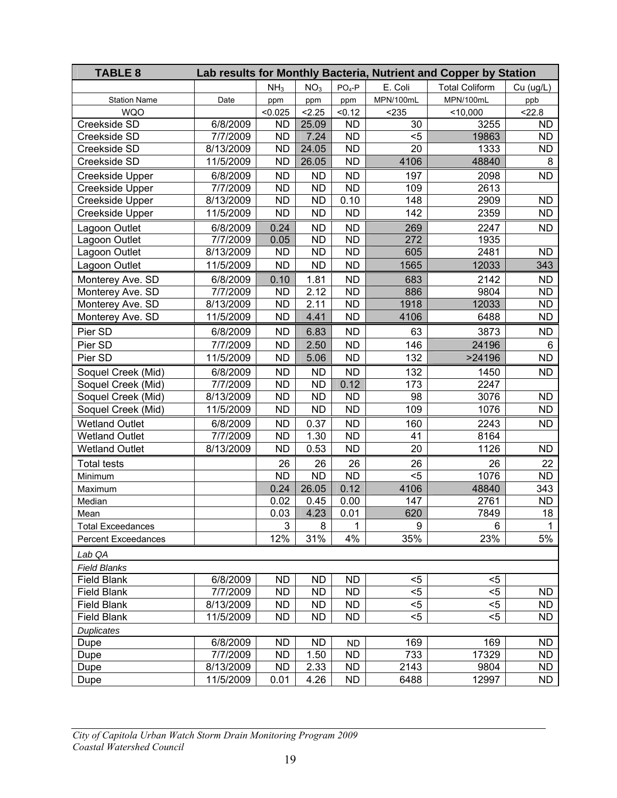| <b>TABLE 8</b>             |           |                 |                 |                 |           | Lab results for Monthly Bacteria, Nutrient and Copper by Station |           |
|----------------------------|-----------|-----------------|-----------------|-----------------|-----------|------------------------------------------------------------------|-----------|
|                            |           | NH <sub>3</sub> | NO <sub>3</sub> | $PO4-P$         | E. Coli   | <b>Total Coliform</b>                                            | Cu (ug/L) |
| <b>Station Name</b>        | Date      | ppm             | ppm             | ppm             | MPN/100mL | MPN/100mL                                                        | ppb       |
| <b>WQO</b>                 |           | < 0.025         | 2.25            | < 0.12          | < 235     | < 10,000                                                         | 22.8      |
| Creekside SD               | 6/8/2009  | <b>ND</b>       | 25.09           | <b>ND</b>       | 30        | 3255                                                             | <b>ND</b> |
| Creekside SD               | 7/7/2009  | <b>ND</b>       | 7.24            | <b>ND</b>       | $5$       | 19863                                                            | <b>ND</b> |
| Creekside SD               | 8/13/2009 | <b>ND</b>       | 24.05           | <b>ND</b>       | 20        | 1333                                                             | <b>ND</b> |
| Creekside SD               | 11/5/2009 | <b>ND</b>       | 26.05           | <b>ND</b>       | 4106      | 48840                                                            | 8         |
| Creekside Upper            | 6/8/2009  | <b>ND</b>       | <b>ND</b>       | <b>ND</b>       | 197       | 2098                                                             | <b>ND</b> |
| <b>Creekside Upper</b>     | 7/7/2009  | <b>ND</b>       | <b>ND</b>       | $\overline{ND}$ | 109       | 2613                                                             |           |
| <b>Creekside Upper</b>     | 8/13/2009 | <b>ND</b>       | <b>ND</b>       | 0.10            | 148       | 2909                                                             | <b>ND</b> |
| Creekside Upper            | 11/5/2009 | <b>ND</b>       | <b>ND</b>       | <b>ND</b>       | 142       | 2359                                                             | <b>ND</b> |
| Lagoon Outlet              | 6/8/2009  | 0.24            | <b>ND</b>       | <b>ND</b>       | 269       | 2247                                                             | <b>ND</b> |
| Lagoon Outlet              | 7/7/2009  | 0.05            | <b>ND</b>       | <b>ND</b>       | 272       | 1935                                                             |           |
| Lagoon Outlet              | 8/13/2009 | <b>ND</b>       | <b>ND</b>       | <b>ND</b>       | 605       | 2481                                                             | <b>ND</b> |
| Lagoon Outlet              | 11/5/2009 | <b>ND</b>       | <b>ND</b>       | <b>ND</b>       | 1565      | 12033                                                            | 343       |
| Monterey Ave. SD           | 6/8/2009  | 0.10            | 1.81            | <b>ND</b>       | 683       | 2142                                                             | <b>ND</b> |
| Monterey Ave. SD           | 7/7/2009  | <b>ND</b>       | 2.12            | <b>ND</b>       | 886       | 9804                                                             | <b>ND</b> |
| Monterey Ave. SD           | 8/13/2009 | <b>ND</b>       | 2.11            | <b>ND</b>       | 1918      | 12033                                                            | <b>ND</b> |
| Monterey Ave. SD           | 11/5/2009 | <b>ND</b>       | 4.41            | <b>ND</b>       | 4106      | 6488                                                             | <b>ND</b> |
| Pier SD                    | 6/8/2009  | <b>ND</b>       | 6.83            | <b>ND</b>       | 63        | 3873                                                             | <b>ND</b> |
| Pier SD                    | 7/7/2009  | <b>ND</b>       | 2.50            | <b>ND</b>       | 146       | 24196                                                            | 6         |
| Pier SD                    | 11/5/2009 | <b>ND</b>       | 5.06            | <b>ND</b>       | 132       | >24196                                                           | <b>ND</b> |
| Soquel Creek (Mid)         | 6/8/2009  | <b>ND</b>       | <b>ND</b>       | <b>ND</b>       | 132       | 1450                                                             | <b>ND</b> |
| Soquel Creek (Mid)         | 7/7/2009  | <b>ND</b>       | <b>ND</b>       | 0.12            | 173       | 2247                                                             |           |
| Soquel Creek (Mid)         | 8/13/2009 | <b>ND</b>       | <b>ND</b>       | <b>ND</b>       | 98        | 3076                                                             | <b>ND</b> |
| Soquel Creek (Mid)         | 11/5/2009 | <b>ND</b>       | <b>ND</b>       | <b>ND</b>       | 109       | 1076                                                             | <b>ND</b> |
| <b>Wetland Outlet</b>      | 6/8/2009  | <b>ND</b>       | 0.37            | <b>ND</b>       | 160       | 2243                                                             | <b>ND</b> |
| <b>Wetland Outlet</b>      | 7/7/2009  | <b>ND</b>       | 1.30            | <b>ND</b>       | 41        | 8164                                                             |           |
| <b>Wetland Outlet</b>      | 8/13/2009 | <b>ND</b>       | 0.53            | <b>ND</b>       | 20        | 1126                                                             | <b>ND</b> |
| <b>Total tests</b>         |           | 26              | 26              | 26              | 26        | 26                                                               | 22        |
| Minimum                    |           | <b>ND</b>       | <b>ND</b>       | <b>ND</b>       | $5$       | 1076                                                             | <b>ND</b> |
| Maximum                    |           | 0.24            | 26.05           | 0.12            | 4106      | 48840                                                            | 343       |
| Median                     |           | 0.02            | 0.45            | 0.00            | 147       | 2761                                                             | <b>ND</b> |
| Mean                       |           | 0.03            | 4.23            | 0.01            | 620       | 7849                                                             | 18        |
| <b>Total Exceedances</b>   |           | 3               | 8               | 1               | 9         | 6                                                                | 1         |
| <b>Percent Exceedances</b> |           | 12%             | 31%             | 4%              | 35%       | 23%                                                              | 5%        |
| Lab QA                     |           |                 |                 |                 |           |                                                                  |           |
| <b>Field Blanks</b>        |           |                 |                 |                 |           |                                                                  |           |
| <b>Field Blank</b>         | 6/8/2009  | <b>ND</b>       | <b>ND</b>       | <b>ND</b>       | $<$ 5     | $<$ 5                                                            |           |
| <b>Field Blank</b>         | 7/7/2009  | <b>ND</b>       | <b>ND</b>       | <b>ND</b>       | $5$       | $5$                                                              | <b>ND</b> |
| <b>Field Blank</b>         | 8/13/2009 | <b>ND</b>       | <b>ND</b>       | <b>ND</b>       | $5$       | $5$                                                              | <b>ND</b> |
| <b>Field Blank</b>         | 11/5/2009 | <b>ND</b>       | <b>ND</b>       | <b>ND</b>       | $5$       | $5$                                                              | <b>ND</b> |
| <b>Duplicates</b>          |           |                 |                 |                 |           |                                                                  |           |
| Dupe                       | 6/8/2009  | <b>ND</b>       | <b>ND</b>       | <b>ND</b>       | 169       | 169                                                              | <b>ND</b> |
| Dupe                       | 7/7/2009  | <b>ND</b>       | 1.50            | <b>ND</b>       | 733       | 17329                                                            | <b>ND</b> |
| Dupe                       | 8/13/2009 | <b>ND</b>       | 2.33            | <b>ND</b>       | 2143      | 9804                                                             | <b>ND</b> |
| Dupe                       | 11/5/2009 | 0.01            | 4.26            | <b>ND</b>       | 6488      | 12997                                                            | ND.       |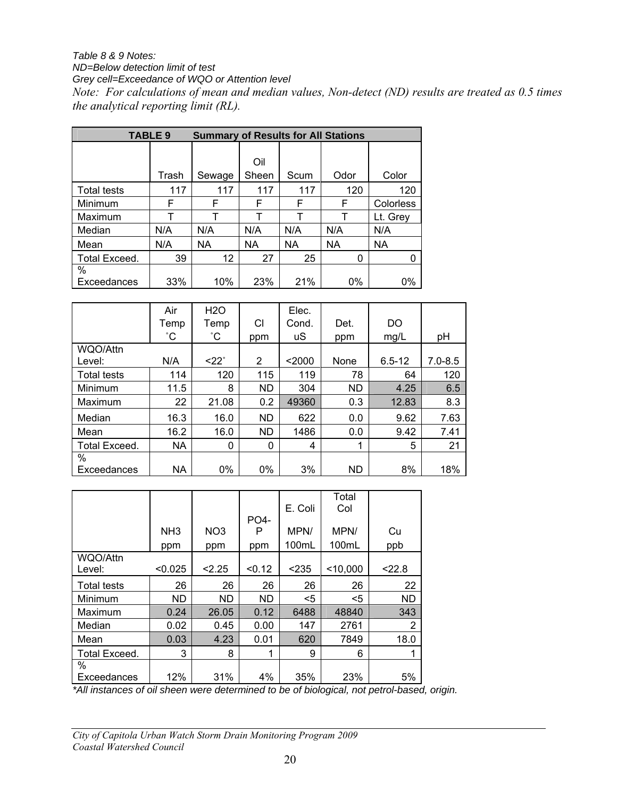#### *Table 8 & 9 Notes: ND=Below detection limit of test*

*Grey cell=Exceedance of WQO or Attention level* 

*Note: For calculations of mean and median values, Non-detect (ND) results are treated as 0.5 times the analytical reporting limit (RL).* 

|                     | <b>TABLE 9</b> | <b>Summary of Results for All Stations</b> |                      |           |           |           |
|---------------------|----------------|--------------------------------------------|----------------------|-----------|-----------|-----------|
|                     | Trash          | Sewage                                     | Oil<br>Scum<br>Sheen |           | Odor      | Color     |
| <b>Total tests</b>  | 117            | 117                                        | 117                  | 117       | 120       | 120       |
| Minimum             | F              | F                                          | F                    | F         | F         | Colorless |
| Maximum             | т              |                                            | т                    |           | т         | Lt. Grey  |
| Median              | N/A            | N/A                                        | N/A                  | N/A       | N/A       | N/A       |
| Mean                | N/A            | <b>NA</b>                                  | NA                   | <b>NA</b> | <b>NA</b> | NA        |
| Total Exceed.       | 39             | 12                                         | 27                   | 25        | 0         |           |
| $\%$<br>Exceedances | 33%            | 10%                                        | 23%                  | 21%       | $0\%$     | $0\%$     |

|                    | Air          | H <sub>2</sub> O  |           | Elec.  |           |            |             |
|--------------------|--------------|-------------------|-----------|--------|-----------|------------|-------------|
|                    | Temp         | Temp              | CI        | Cond.  | Det.      | DO         |             |
|                    | $^{\circ}$ C | °С                | ppm       | uS     | ppm       | mg/L       | pH          |
| WQO/Attn           |              |                   |           |        |           |            |             |
| Level:             | N/A          | $<$ 22 $^{\circ}$ | 2         | $2000$ | None      | $6.5 - 12$ | $7.0 - 8.5$ |
| <b>Total tests</b> | 114          | 120               | 115       | 119    | 78        | 64         | 120         |
| Minimum            | 11.5         | 8                 | <b>ND</b> | 304    | <b>ND</b> | 4.25       | 6.5         |
| Maximum            | 22           | 21.08             | 0.2       | 49360  | 0.3       | 12.83      | 8.3         |
| Median             | 16.3         | 16.0              | ND.       | 622    | 0.0       | 9.62       | 7.63        |
| Mean               | 16.2         | 16.0              | ND.       | 1486   | 0.0       | 9.42       | 7.41        |
| Total Exceed.      | <b>NA</b>    | 0                 | 0         | 4      | 1         | 5          | 21          |
| %                  |              |                   |           |        |           |            |             |
| Exceedances        | <b>NA</b>    | 0%                | 0%        | 3%     | <b>ND</b> | 8%         | 18%         |

|                    |                 |                 |        | E. Coli | Total<br>Col |        |
|--------------------|-----------------|-----------------|--------|---------|--------------|--------|
|                    |                 |                 | PO4-   |         |              |        |
|                    | NH <sub>3</sub> | NO <sub>3</sub> | P      | MPN/    | MPN/         | Сu     |
|                    | ppm             | ppm             | ppm    | 100mL   | 100mL        | ppb    |
| WQO/Attn           |                 |                 |        |         |              |        |
| Level:             | < 0.025         | 2.25            | < 0.12 | < 235   | $<$ 10,000   | < 22.8 |
| <b>Total tests</b> | 26              | 26              | 26     | 26      | 26           | 22     |
| Minimum            | <b>ND</b>       | <b>ND</b>       | ND.    | $<$ 5   | $<$ 5        | ND     |
| Maximum            | 0.24            | 26.05           | 0.12   | 6488    | 48840        | 343    |
| Median             | 0.02            | 0.45            | 0.00   | 147     | 2761         | 2      |
| Mean               | 0.03            | 4.23            | 0.01   | 620     | 7849         | 18.0   |
| Total Exceed.      | 3               | 8               | 1      | 9       | 6            |        |
| %                  |                 |                 |        |         |              |        |
| Exceedances        | 12%             | 31%             | 4%     | 35%     | 23%          | 5%     |

*\*All instances of oil sheen were determined to be of biological, not petrol-based, origin.*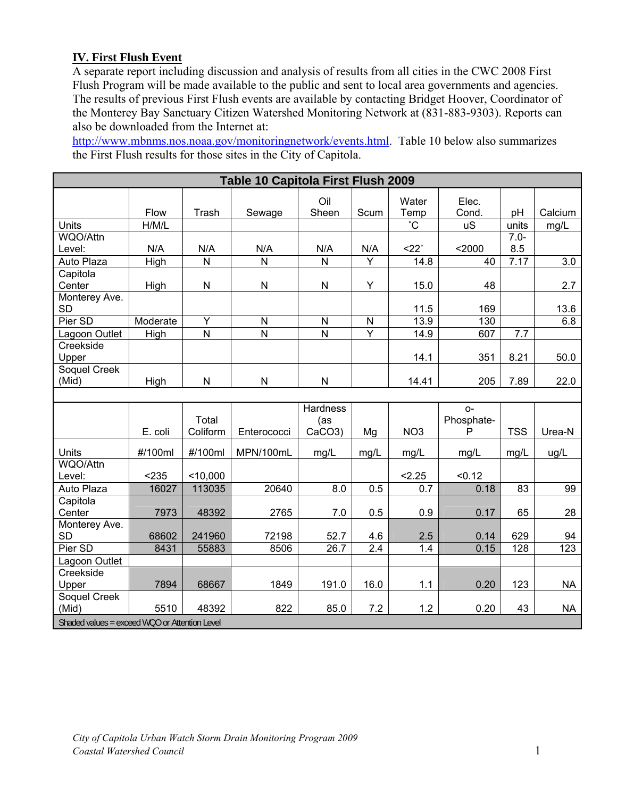## **IV. First Flush Event**

A separate report including discussion and analysis of results from all cities in the CWC 2008 First Flush Program will be made available to the public and sent to local area governments and agencies. The results of previous First Flush events are available by contacting Bridget Hoover, Coordinator of the Monterey Bay Sanctuary Citizen Watershed Monitoring Network at (831-883-9303). Reports can also be downloaded from the Internet at:

<http://www.mbnms.nos.noaa.gov/monitoringnetwork/events.html>. Table 10 below also summarizes the First Flush results for those sites in the City of Capitola.

| Table 10 Capitola First Flush 2009 |          |                   |                         |                                               |                  |                       |                          |                   |           |  |  |  |  |
|------------------------------------|----------|-------------------|-------------------------|-----------------------------------------------|------------------|-----------------------|--------------------------|-------------------|-----------|--|--|--|--|
|                                    | Flow     | Trash             | Sewage                  | Oil<br>Sheen                                  | Scum             | Water<br>Temp         | Elec.<br>Cond.           | pH                | Calcium   |  |  |  |  |
| <b>Units</b>                       | H/M/L    |                   |                         |                                               |                  | $\overline{\text{C}}$ | <b>uS</b>                | units             | mg/L      |  |  |  |  |
| WQO/Attn                           |          |                   |                         |                                               |                  |                       |                          | $7.0 -$           |           |  |  |  |  |
| Level:                             | N/A      | N/A               | N/A                     | N/A                                           | N/A              | $22^\circ$            | $2000$                   | 8.5               |           |  |  |  |  |
| Auto Plaza                         | High     | $\overline{N}$    | N                       | N                                             | $\overline{Y}$   | 14.8                  | 40                       | $\overline{7.17}$ | 3.0       |  |  |  |  |
| Capitola                           |          |                   |                         |                                               |                  |                       |                          |                   |           |  |  |  |  |
| Center                             | High     | $\mathsf{N}$      | ${\sf N}$               | N                                             | Y                | 15.0                  | 48                       |                   | 2.7       |  |  |  |  |
| Monterey Ave.<br><b>SD</b>         |          |                   |                         |                                               |                  | 11.5                  | 169                      |                   | 13.6      |  |  |  |  |
| Pier SD                            | Moderate | $\overline{Y}$    | $\mathsf{N}$            | N                                             | $\mathsf{N}$     | 13.9                  | 130                      |                   | 6.8       |  |  |  |  |
| Lagoon Outlet                      | High     | $\overline{N}$    | $\overline{\mathsf{N}}$ | N                                             | $\overline{Y}$   | 14.9                  | 607                      | 7.7               |           |  |  |  |  |
| Creekside<br>Upper                 |          |                   |                         |                                               |                  | 14.1                  | 351                      | 8.21              | 50.0      |  |  |  |  |
| Soquel Creek<br>(Mid)              | High     | $\mathsf{N}$      | $\mathsf{N}$            | N                                             |                  | 14.41                 | 205                      | 7.89              | 22.0      |  |  |  |  |
|                                    |          |                   |                         |                                               |                  |                       |                          |                   |           |  |  |  |  |
|                                    | E. coli  | Total<br>Coliform | Enterococci             | <b>Hardness</b><br>(as<br>CaCO <sub>3</sub> ) | Mg               | NO <sub>3</sub>       | $O -$<br>Phosphate-<br>P | <b>TSS</b>        | Urea-N    |  |  |  |  |
| Units                              | #/100ml  | #/100ml           | MPN/100mL               | mg/L                                          | mg/L             | mg/L                  | mg/L                     | mg/L              | ug/L      |  |  |  |  |
| WQO/Attn<br>Level:                 | < 235    | $<$ 10,000        |                         |                                               |                  | 2.25                  | < 0.12                   |                   |           |  |  |  |  |
| Auto Plaza                         | 16027    | 113035            | 20640                   | 8.0                                           | 0.5              | 0.7                   | 0.18                     | 83                | 99        |  |  |  |  |
| Capitola<br>Center                 | 7973     | 48392             | 2765                    | 7.0                                           | 0.5              | 0.9                   | 0.17                     | 65                | 28        |  |  |  |  |
| Monterey Ave.<br><b>SD</b>         | 68602    | 241960            | 72198                   | 52.7                                          | 4.6              | 2.5                   | 0.14                     | 629               | 94        |  |  |  |  |
| Pier SD                            |          |                   |                         |                                               |                  |                       |                          |                   |           |  |  |  |  |
|                                    | 8431     | 55883             | 8506                    | 26.7                                          | $\overline{2.4}$ | 1.4                   | 0.15                     | 128               | 123       |  |  |  |  |
| Lagoon Outlet                      |          |                   |                         |                                               |                  |                       |                          |                   |           |  |  |  |  |
| Creekside<br>Upper                 | 7894     | 68667             | 1849                    | 191.0                                         | 16.0             | 1.1                   | 0.20                     | 123               | <b>NA</b> |  |  |  |  |
| Soquel Creek<br>(Mid)              | 5510     | 48392             | 822                     | 85.0                                          | 7.2              | 1.2                   | 0.20                     | 43                | <b>NA</b> |  |  |  |  |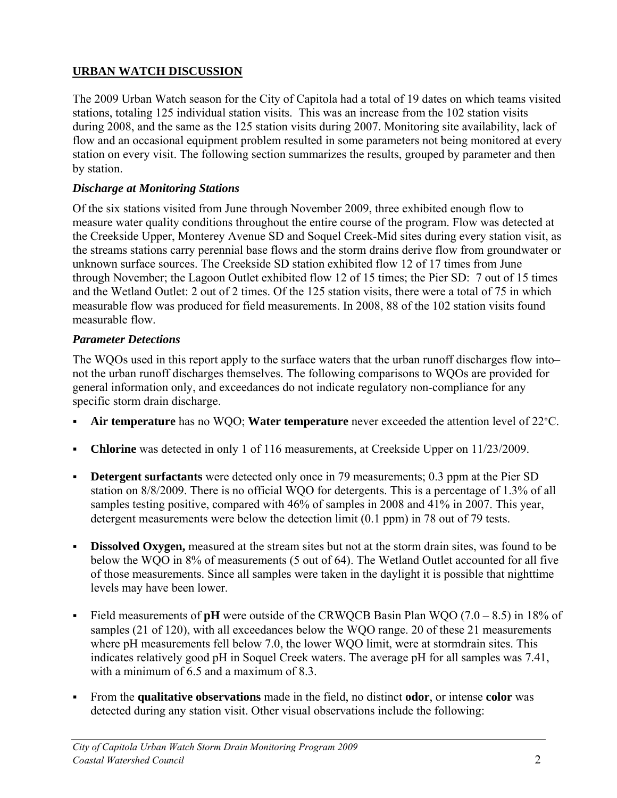## **URBAN WATCH DISCUSSION**

The 2009 Urban Watch season for the City of Capitola had a total of 19 dates on which teams visited stations, totaling 125 individual station visits. This was an increase from the 102 station visits during 2008, and the same as the 125 station visits during 2007. Monitoring site availability, lack of flow and an occasional equipment problem resulted in some parameters not being monitored at every station on every visit. The following section summarizes the results, grouped by parameter and then by station.

## *Discharge at Monitoring Stations*

Of the six stations visited from June through November 2009, three exhibited enough flow to measure water quality conditions throughout the entire course of the program. Flow was detected at the Creekside Upper, Monterey Avenue SD and Soquel Creek-Mid sites during every station visit, as the streams stations carry perennial base flows and the storm drains derive flow from groundwater or unknown surface sources. The Creekside SD station exhibited flow 12 of 17 times from June through November; the Lagoon Outlet exhibited flow 12 of 15 times; the Pier SD: 7 out of 15 times and the Wetland Outlet: 2 out of 2 times. Of the 125 station visits, there were a total of 75 in which measurable flow was produced for field measurements. In 2008, 88 of the 102 station visits found measurable flow.

## *Parameter Detections*

The WQOs used in this report apply to the surface waters that the urban runoff discharges flow into– not the urban runoff discharges themselves. The following comparisons to WQOs are provided for general information only, and exceedances do not indicate regulatory non-compliance for any specific storm drain discharge.

- **Air temperature** has no WQO; **Water temperature** never exceeded the attention level of 22°C.
- **Chlorine** was detected in only 1 of 116 measurements, at Creekside Upper on 11/23/2009.
- **Detergent surfactants** were detected only once in 79 measurements; 0.3 ppm at the Pier SD station on 8/8/2009. There is no official WQO for detergents. This is a percentage of 1.3% of all samples testing positive, compared with 46% of samples in 2008 and 41% in 2007. This year, detergent measurements were below the detection limit (0.1 ppm) in 78 out of 79 tests.
- **Dissolved Oxygen,** measured at the stream sites but not at the storm drain sites, was found to be below the WQO in 8% of measurements (5 out of 64). The Wetland Outlet accounted for all five of those measurements. Since all samples were taken in the daylight it is possible that nighttime levels may have been lower.
- Field measurements of **pH** were outside of the CRWQCB Basin Plan WQO (7.0 8.5) in 18% of samples (21 of 120), with all exceedances below the WQO range. 20 of these 21 measurements where pH measurements fell below 7.0, the lower WQO limit, were at stormdrain sites. This indicates relatively good pH in Soquel Creek waters. The average pH for all samples was 7.41, with a minimum of 6.5 and a maximum of 8.3.
- From the **qualitative observations** made in the field, no distinct **odor**, or intense **color** was detected during any station visit. Other visual observations include the following: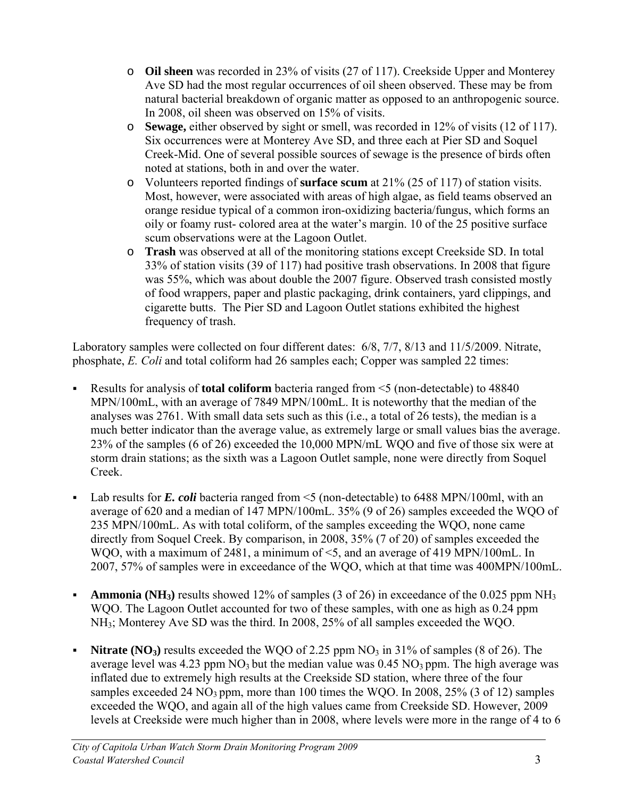- o **Oil sheen** was recorded in 23% of visits (27 of 117). Creekside Upper and Monterey Ave SD had the most regular occurrences of oil sheen observed. These may be from natural bacterial breakdown of organic matter as opposed to an anthropogenic source. In 2008, oil sheen was observed on 15% of visits.
- o **Sewage,** either observed by sight or smell, was recorded in 12% of visits (12 of 117). Six occurrences were at Monterey Ave SD, and three each at Pier SD and Soquel Creek-Mid. One of several possible sources of sewage is the presence of birds often noted at stations, both in and over the water.
- o Volunteers reported findings of **surface scum** at 21% (25 of 117) of station visits. Most, however, were associated with areas of high algae, as field teams observed an orange residue typical of a common iron-oxidizing bacteria/fungus, which forms an oily or foamy rust- colored area at the water's margin. 10 of the 25 positive surface scum observations were at the Lagoon Outlet.
- o **Trash** was observed at all of the monitoring stations except Creekside SD. In total 33% of station visits (39 of 117) had positive trash observations. In 2008 that figure was 55%, which was about double the 2007 figure. Observed trash consisted mostly of food wrappers, paper and plastic packaging, drink containers, yard clippings, and cigarette butts. The Pier SD and Lagoon Outlet stations exhibited the highest frequency of trash.

Laboratory samples were collected on four different dates: 6/8, 7/7, 8/13 and 11/5/2009. Nitrate, phosphate, *E. Coli* and total coliform had 26 samples each; Copper was sampled 22 times:

- Results for analysis of **total coliform** bacteria ranged from <5 (non-detectable) to 48840 MPN/100mL, with an average of 7849 MPN/100mL. It is noteworthy that the median of the analyses was 2761. With small data sets such as this (i.e., a total of 26 tests), the median is a much better indicator than the average value, as extremely large or small values bias the average. 23% of the samples (6 of 26) exceeded the 10,000 MPN/mL WQO and five of those six were at storm drain stations; as the sixth was a Lagoon Outlet sample, none were directly from Soquel Creek.
- Lab results for *E. coli* bacteria ranged from  $\leq$  (non-detectable) to 6488 MPN/100ml, with an average of 620 and a median of 147 MPN/100mL. 35% (9 of 26) samples exceeded the WQO of 235 MPN/100mL. As with total coliform, of the samples exceeding the WQO, none came directly from Soquel Creek. By comparison, in 2008, 35% (7 of 20) of samples exceeded the WQO, with a maximum of 2481, a minimum of  $\leq 5$ , and an average of 419 MPN/100mL. In 2007, 57% of samples were in exceedance of the WQO, which at that time was 400MPN/100mL.
- **Ammonia (NH3)** results showed 12% of samples (3 of 26) in exceedance of the 0.025 ppm NH3 WQO. The Lagoon Outlet accounted for two of these samples, with one as high as 0.24 ppm NH3; Monterey Ave SD was the third. In 2008, 25% of all samples exceeded the WQO.
- **Nitrate (NO<sub>3</sub>)** results exceeded the WQO of 2.25 ppm  $NO_3$  in 31% of samples (8 of 26). The average level was 4.23 ppm  $NO<sub>3</sub>$  but the median value was  $0.45 \text{ NO}<sub>3</sub>$  ppm. The high average was inflated due to extremely high results at the Creekside SD station, where three of the four samples exceeded 24  $NO_3$  ppm, more than 100 times the WQO. In 2008, 25% (3 of 12) samples exceeded the WQO, and again all of the high values came from Creekside SD. However, 2009 levels at Creekside were much higher than in 2008, where levels were more in the range of 4 to 6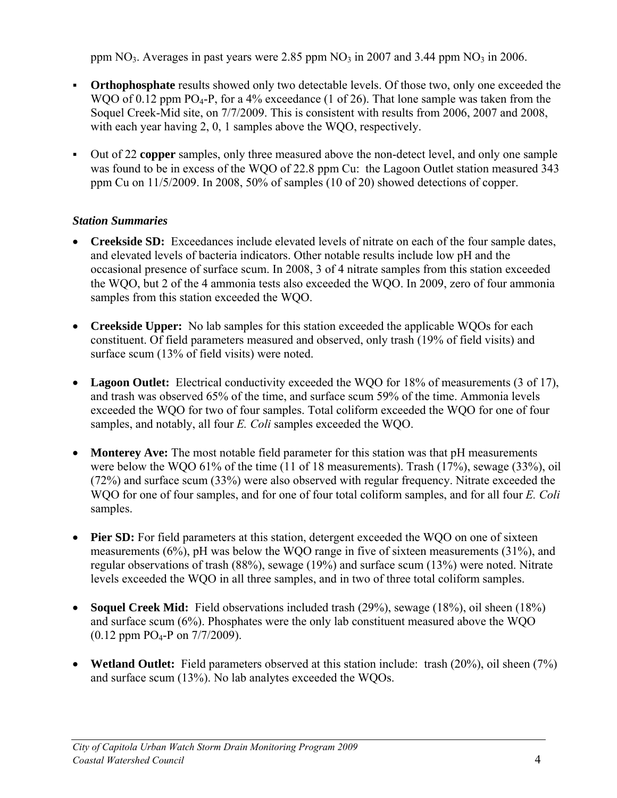ppm  $NO<sub>3</sub>$ . Averages in past years were 2.85 ppm  $NO<sub>3</sub>$  in 2007 and 3.44 ppm  $NO<sub>3</sub>$  in 2006.

- **Orthophosphate** results showed only two detectable levels. Of those two, only one exceeded the WQO of 0.12 ppm  $PO_4$ -P, for a 4% exceedance (1 of 26). That lone sample was taken from the Soquel Creek-Mid site, on 7/7/2009. This is consistent with results from 2006, 2007 and 2008, with each year having 2, 0, 1 samples above the WQO, respectively.
- Out of 22 **copper** samples, only three measured above the non-detect level, and only one sample was found to be in excess of the WQO of 22.8 ppm Cu: the Lagoon Outlet station measured 343 ppm Cu on 11/5/2009. In 2008, 50% of samples (10 of 20) showed detections of copper.

## *Station Summaries*

- **Creekside SD:** Exceedances include elevated levels of nitrate on each of the four sample dates, and elevated levels of bacteria indicators. Other notable results include low pH and the occasional presence of surface scum. In 2008, 3 of 4 nitrate samples from this station exceeded the WQO, but 2 of the 4 ammonia tests also exceeded the WQO. In 2009, zero of four ammonia samples from this station exceeded the WQO.
- **Creekside Upper:** No lab samples for this station exceeded the applicable WQOs for each constituent. Of field parameters measured and observed, only trash (19% of field visits) and surface scum (13% of field visits) were noted.
- Lagoon Outlet: Electrical conductivity exceeded the WQO for 18% of measurements (3 of 17), and trash was observed 65% of the time, and surface scum 59% of the time. Ammonia levels exceeded the WQO for two of four samples. Total coliform exceeded the WQO for one of four samples, and notably, all four *E. Coli* samples exceeded the WQO.
- **Monterey Ave:** The most notable field parameter for this station was that pH measurements were below the WQO 61% of the time (11 of 18 measurements). Trash (17%), sewage (33%), oil (72%) and surface scum (33%) were also observed with regular frequency. Nitrate exceeded the WQO for one of four samples, and for one of four total coliform samples, and for all four *E. Coli*  samples.
- **Pier SD:** For field parameters at this station, detergent exceeded the WQO on one of sixteen measurements (6%), pH was below the WQO range in five of sixteen measurements (31%), and regular observations of trash (88%), sewage (19%) and surface scum (13%) were noted. Nitrate levels exceeded the WQO in all three samples, and in two of three total coliform samples.
- **Soquel Creek Mid:** Field observations included trash (29%), sewage (18%), oil sheen (18%) and surface scum (6%). Phosphates were the only lab constituent measured above the WQO  $(0.12$  ppm PO<sub>4</sub>-P on  $7/7/2009$ ).
- **Wetland Outlet:** Field parameters observed at this station include: trash (20%), oil sheen (7%) and surface scum (13%). No lab analytes exceeded the WQOs.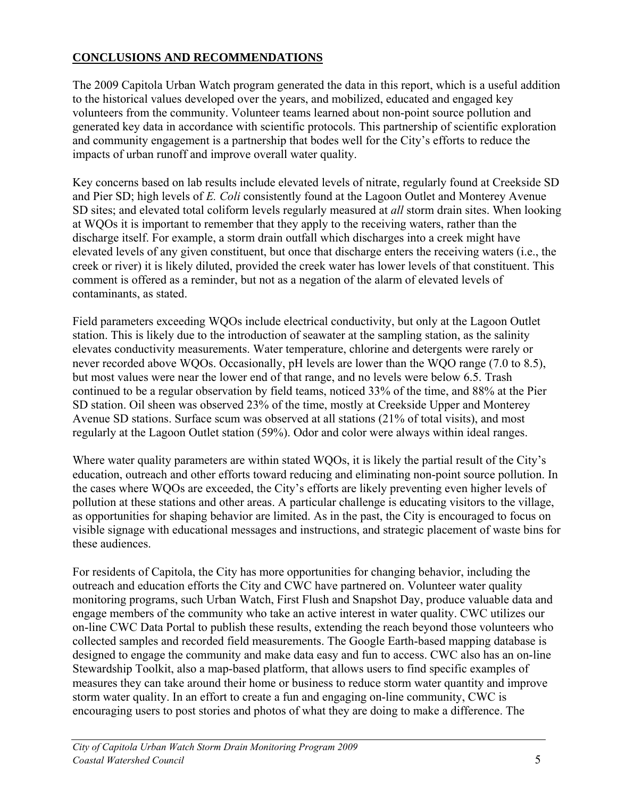## **CONCLUSIONS AND RECOMMENDATIONS**

The 2009 Capitola Urban Watch program generated the data in this report, which is a useful addition to the historical values developed over the years, and mobilized, educated and engaged key volunteers from the community. Volunteer teams learned about non-point source pollution and generated key data in accordance with scientific protocols. This partnership of scientific exploration and community engagement is a partnership that bodes well for the City's efforts to reduce the impacts of urban runoff and improve overall water quality.

Key concerns based on lab results include elevated levels of nitrate, regularly found at Creekside SD and Pier SD; high levels of *E. Coli* consistently found at the Lagoon Outlet and Monterey Avenue SD sites; and elevated total coliform levels regularly measured at *all* storm drain sites. When looking at WQOs it is important to remember that they apply to the receiving waters, rather than the discharge itself. For example, a storm drain outfall which discharges into a creek might have elevated levels of any given constituent, but once that discharge enters the receiving waters (i.e., the creek or river) it is likely diluted, provided the creek water has lower levels of that constituent. This comment is offered as a reminder, but not as a negation of the alarm of elevated levels of contaminants, as stated.

Field parameters exceeding WQOs include electrical conductivity, but only at the Lagoon Outlet station. This is likely due to the introduction of seawater at the sampling station, as the salinity elevates conductivity measurements. Water temperature, chlorine and detergents were rarely or never recorded above WQOs. Occasionally, pH levels are lower than the WQO range (7.0 to 8.5), but most values were near the lower end of that range, and no levels were below 6.5. Trash continued to be a regular observation by field teams, noticed 33% of the time, and 88% at the Pier SD station. Oil sheen was observed 23% of the time, mostly at Creekside Upper and Monterey Avenue SD stations. Surface scum was observed at all stations (21% of total visits), and most regularly at the Lagoon Outlet station (59%). Odor and color were always within ideal ranges.

Where water quality parameters are within stated WQOs, it is likely the partial result of the City's education, outreach and other efforts toward reducing and eliminating non-point source pollution. In the cases where WQOs are exceeded, the City's efforts are likely preventing even higher levels of pollution at these stations and other areas. A particular challenge is educating visitors to the village, as opportunities for shaping behavior are limited. As in the past, the City is encouraged to focus on visible signage with educational messages and instructions, and strategic placement of waste bins for these audiences.

For residents of Capitola, the City has more opportunities for changing behavior, including the outreach and education efforts the City and CWC have partnered on. Volunteer water quality monitoring programs, such Urban Watch, First Flush and Snapshot Day, produce valuable data and engage members of the community who take an active interest in water quality. CWC utilizes our on-line CWC Data Portal to publish these results, extending the reach beyond those volunteers who collected samples and recorded field measurements. The Google Earth-based mapping database is designed to engage the community and make data easy and fun to access. CWC also has an on-line Stewardship Toolkit, also a map-based platform, that allows users to find specific examples of measures they can take around their home or business to reduce storm water quantity and improve storm water quality. In an effort to create a fun and engaging on-line community, CWC is encouraging users to post stories and photos of what they are doing to make a difference. The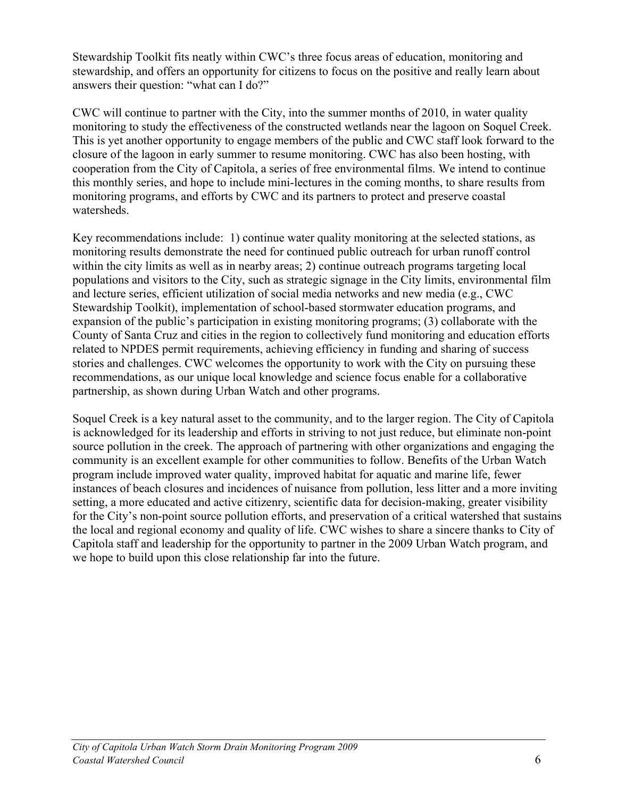Stewardship Toolkit fits neatly within CWC's three focus areas of education, monitoring and stewardship, and offers an opportunity for citizens to focus on the positive and really learn about answers their question: "what can I do?"

CWC will continue to partner with the City, into the summer months of 2010, in water quality monitoring to study the effectiveness of the constructed wetlands near the lagoon on Soquel Creek. This is yet another opportunity to engage members of the public and CWC staff look forward to the closure of the lagoon in early summer to resume monitoring. CWC has also been hosting, with cooperation from the City of Capitola, a series of free environmental films. We intend to continue this monthly series, and hope to include mini-lectures in the coming months, to share results from monitoring programs, and efforts by CWC and its partners to protect and preserve coastal watersheds.

Key recommendations include: 1) continue water quality monitoring at the selected stations, as monitoring results demonstrate the need for continued public outreach for urban runoff control within the city limits as well as in nearby areas; 2) continue outreach programs targeting local populations and visitors to the City, such as strategic signage in the City limits, environmental film and lecture series, efficient utilization of social media networks and new media (e.g., CWC Stewardship Toolkit), implementation of school-based stormwater education programs, and expansion of the public's participation in existing monitoring programs; (3) collaborate with the County of Santa Cruz and cities in the region to collectively fund monitoring and education efforts related to NPDES permit requirements, achieving efficiency in funding and sharing of success stories and challenges. CWC welcomes the opportunity to work with the City on pursuing these recommendations, as our unique local knowledge and science focus enable for a collaborative partnership, as shown during Urban Watch and other programs.

Soquel Creek is a key natural asset to the community, and to the larger region. The City of Capitola is acknowledged for its leadership and efforts in striving to not just reduce, but eliminate non-point source pollution in the creek. The approach of partnering with other organizations and engaging the community is an excellent example for other communities to follow. Benefits of the Urban Watch program include improved water quality, improved habitat for aquatic and marine life, fewer instances of beach closures and incidences of nuisance from pollution, less litter and a more inviting setting, a more educated and active citizenry, scientific data for decision-making, greater visibility for the City's non-point source pollution efforts, and preservation of a critical watershed that sustains the local and regional economy and quality of life. CWC wishes to share a sincere thanks to City of Capitola staff and leadership for the opportunity to partner in the 2009 Urban Watch program, and we hope to build upon this close relationship far into the future.